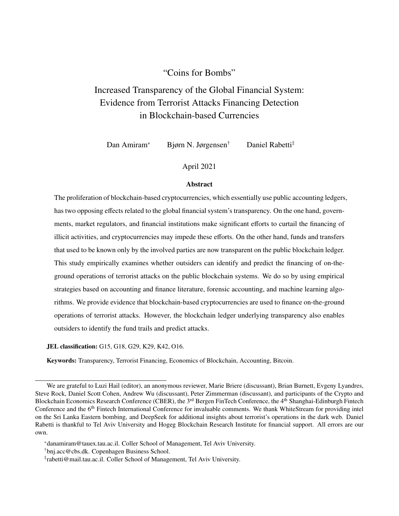#### "Coins for Bombs"

# Increased Transparency of the Global Financial System: Evidence from Terrorist Attacks Financing Detection in Blockchain-based Currencies

Dan Amiram\* Bjørn N. Jørgensen† Daniel Rabetti‡

#### April 2021

#### Abstract

The proliferation of blockchain-based cryptocurrencies, which essentially use public accounting ledgers, has two opposing effects related to the global financial system's transparency. On the one hand, governments, market regulators, and financial institutions make significant efforts to curtail the financing of illicit activities, and cryptocurrencies may impede these efforts. On the other hand, funds and transfers that used to be known only by the involved parties are now transparent on the public blockchain ledger. This study empirically examines whether outsiders can identify and predict the financing of on-theground operations of terrorist attacks on the public blockchain systems. We do so by using empirical strategies based on accounting and finance literature, forensic accounting, and machine learning algorithms. We provide evidence that blockchain-based cryptocurrencies are used to finance on-the-ground operations of terrorist attacks. However, the blockchain ledger underlying transparency also enables outsiders to identify the fund trails and predict attacks.

JEL classification: G15, G18, G29, K29, K42, O16.

Keywords: Transparency, Terrorist Financing, Economics of Blockchain, Accounting, Bitcoin.

We are grateful to Luzi Hail (editor), an anonymous reviewer, Marie Briere (discussant), Brian Burnett, Evgeny Lyandres, Steve Rock, Daniel Scott Cohen, Andrew Wu (discussant), Peter Zimmerman (discussant), and participants of the Crypto and Blockchain Economics Research Conference (CBER), the 3<sup>rd</sup> Bergen FinTech Conference, the 4<sup>th</sup> Shanghai-Edinburgh Fintech Conference and the 6<sup>th</sup> Fintech International Conference for invaluable comments. We thank WhiteStream for providing intel on the Sri Lanka Eastern bombing, and DeepSeek for additional insights about terrorist's operations in the dark web. Daniel Rabetti is thankful to Tel Aviv University and Hogeg Blockchain Research Institute for financial support. All errors are our own.

<sup>\*</sup>danamiram@tauex.tau.ac.il. Coller School of Management, Tel Aviv University.

<sup>†</sup>bnj.acc@cbs.dk. Copenhagen Business School.

<sup>‡</sup> rabetti@mail.tau.ac.il. Coller School of Management, Tel Aviv University.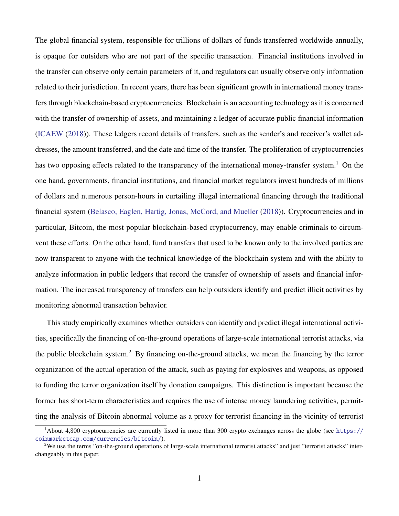The global financial system, responsible for trillions of dollars of funds transferred worldwide annually, is opaque for outsiders who are not part of the specific transaction. Financial institutions involved in the transfer can observe only certain parameters of it, and regulators can usually observe only information related to their jurisdiction. In recent years, there has been significant growth in international money transfers through blockchain-based cryptocurrencies. Blockchain is an accounting technology as it is concerned with the transfer of ownership of assets, and maintaining a ledger of accurate public financial information [\(ICAEW](#page-36-0) [\(2018\)](#page-36-0)). These ledgers record details of transfers, such as the sender's and receiver's wallet addresses, the amount transferred, and the date and time of the transfer. The proliferation of cryptocurrencies has two opposing effects related to the transparency of the international money-transfer system.<sup>1</sup> On the one hand, governments, financial institutions, and financial market regulators invest hundreds of millions of dollars and numerous person-hours in curtailing illegal international financing through the traditional financial system [\(Belasco, Eaglen, Hartig, Jonas, McCord, and Mueller](#page-35-0) [\(2018\)](#page-35-0)). Cryptocurrencies and in particular, Bitcoin, the most popular blockchain-based cryptocurrency, may enable criminals to circumvent these efforts. On the other hand, fund transfers that used to be known only to the involved parties are now transparent to anyone with the technical knowledge of the blockchain system and with the ability to analyze information in public ledgers that record the transfer of ownership of assets and financial information. The increased transparency of transfers can help outsiders identify and predict illicit activities by monitoring abnormal transaction behavior.

This study empirically examines whether outsiders can identify and predict illegal international activities, specifically the financing of on-the-ground operations of large-scale international terrorist attacks, via the public blockchain system.<sup>2</sup> By financing on-the-ground attacks, we mean the financing by the terror organization of the actual operation of the attack, such as paying for explosives and weapons, as opposed to funding the terror organization itself by donation campaigns. This distinction is important because the former has short-term characteristics and requires the use of intense money laundering activities, permitting the analysis of Bitcoin abnormal volume as a proxy for terrorist financing in the vicinity of terrorist

<sup>1</sup>About 4,800 cryptocurrencies are currently listed in more than 300 crypto exchanges across the globe (see [https://](https://coinmarketcap.com/currencies/bitcoin/) [coinmarketcap.com/currencies/bitcoin/](https://coinmarketcap.com/currencies/bitcoin/)).

<sup>&</sup>lt;sup>2</sup>We use the terms "on-the-ground operations of large-scale international terrorist attacks" and just "terrorist attacks" interchangeably in this paper.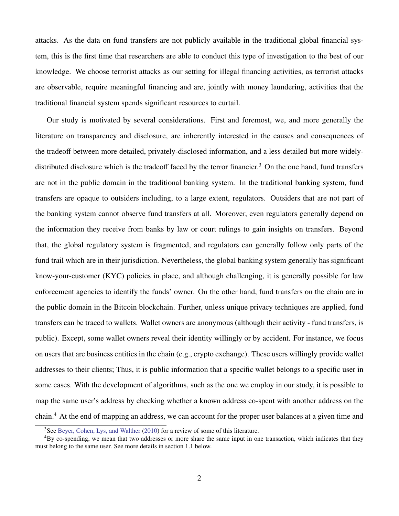attacks. As the data on fund transfers are not publicly available in the traditional global financial system, this is the first time that researchers are able to conduct this type of investigation to the best of our knowledge. We choose terrorist attacks as our setting for illegal financing activities, as terrorist attacks are observable, require meaningful financing and are, jointly with money laundering, activities that the traditional financial system spends significant resources to curtail.

Our study is motivated by several considerations. First and foremost, we, and more generally the literature on transparency and disclosure, are inherently interested in the causes and consequences of the tradeoff between more detailed, privately-disclosed information, and a less detailed but more widelydistributed disclosure which is the tradeoff faced by the terror financier.<sup>3</sup> On the one hand, fund transfers are not in the public domain in the traditional banking system. In the traditional banking system, fund transfers are opaque to outsiders including, to a large extent, regulators. Outsiders that are not part of the banking system cannot observe fund transfers at all. Moreover, even regulators generally depend on the information they receive from banks by law or court rulings to gain insights on transfers. Beyond that, the global regulatory system is fragmented, and regulators can generally follow only parts of the fund trail which are in their jurisdiction. Nevertheless, the global banking system generally has significant know-your-customer (KYC) policies in place, and although challenging, it is generally possible for law enforcement agencies to identify the funds' owner. On the other hand, fund transfers on the chain are in the public domain in the Bitcoin blockchain. Further, unless unique privacy techniques are applied, fund transfers can be traced to wallets. Wallet owners are anonymous (although their activity - fund transfers, is public). Except, some wallet owners reveal their identity willingly or by accident. For instance, we focus on users that are business entities in the chain (e.g., crypto exchange). These users willingly provide wallet addresses to their clients; Thus, it is public information that a specific wallet belongs to a specific user in some cases. With the development of algorithms, such as the one we employ in our study, it is possible to map the same user's address by checking whether a known address co-spent with another address on the chain.<sup>4</sup> At the end of mapping an address, we can account for the proper user balances at a given time and

<sup>&</sup>lt;sup>3</sup>See [Beyer, Cohen, Lys, and Walther](#page-35-1) [\(2010\)](#page-35-1) for a review of some of this literature.

<sup>&</sup>lt;sup>4</sup>By co-spending, we mean that two addresses or more share the same input in one transaction, which indicates that they must belong to the same user. See more details in section 1.1 below.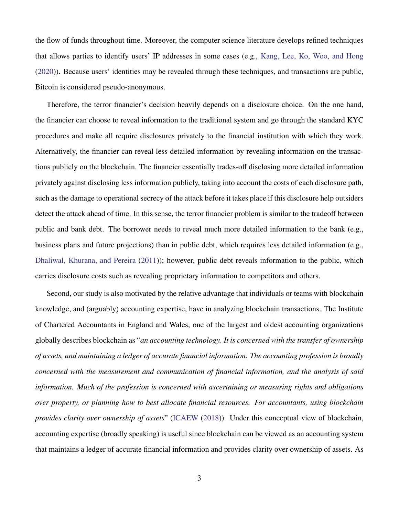the flow of funds throughout time. Moreover, the computer science literature develops refined techniques that allows parties to identify users' IP addresses in some cases (e.g., [Kang, Lee, Ko, Woo, and Hong](#page-36-1) [\(2020\)](#page-36-1)). Because users' identities may be revealed through these techniques, and transactions are public, Bitcoin is considered pseudo-anonymous.

Therefore, the terror financier's decision heavily depends on a disclosure choice. On the one hand, the financier can choose to reveal information to the traditional system and go through the standard KYC procedures and make all require disclosures privately to the financial institution with which they work. Alternatively, the financier can reveal less detailed information by revealing information on the transactions publicly on the blockchain. The financier essentially trades-off disclosing more detailed information privately against disclosing less information publicly, taking into account the costs of each disclosure path, such as the damage to operational secrecy of the attack before it takes place if this disclosure help outsiders detect the attack ahead of time. In this sense, the terror financier problem is similar to the tradeoff between public and bank debt. The borrower needs to reveal much more detailed information to the bank (e.g., business plans and future projections) than in public debt, which requires less detailed information (e.g., [Dhaliwal, Khurana, and Pereira](#page-36-2) [\(2011\)](#page-36-2)); however, public debt reveals information to the public, which carries disclosure costs such as revealing proprietary information to competitors and others.

Second, our study is also motivated by the relative advantage that individuals or teams with blockchain knowledge, and (arguably) accounting expertise, have in analyzing blockchain transactions. The Institute of Chartered Accountants in England and Wales, one of the largest and oldest accounting organizations globally describes blockchain as "*an accounting technology. It is concerned with the transfer of ownership of assets, and maintaining a ledger of accurate financial information. The accounting profession is broadly concerned with the measurement and communication of financial information, and the analysis of said information. Much of the profession is concerned with ascertaining or measuring rights and obligations over property, or planning how to best allocate financial resources. For accountants, using blockchain provides clarity over ownership of assets*" [\(ICAEW](#page-36-0) [\(2018\)](#page-36-0)). Under this conceptual view of blockchain, accounting expertise (broadly speaking) is useful since blockchain can be viewed as an accounting system that maintains a ledger of accurate financial information and provides clarity over ownership of assets. As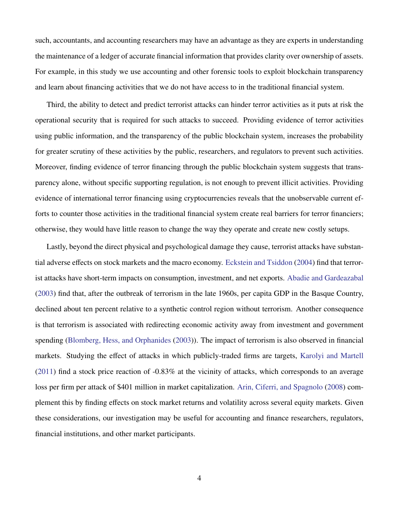such, accountants, and accounting researchers may have an advantage as they are experts in understanding the maintenance of a ledger of accurate financial information that provides clarity over ownership of assets. For example, in this study we use accounting and other forensic tools to exploit blockchain transparency and learn about financing activities that we do not have access to in the traditional financial system.

Third, the ability to detect and predict terrorist attacks can hinder terror activities as it puts at risk the operational security that is required for such attacks to succeed. Providing evidence of terror activities using public information, and the transparency of the public blockchain system, increases the probability for greater scrutiny of these activities by the public, researchers, and regulators to prevent such activities. Moreover, finding evidence of terror financing through the public blockchain system suggests that transparency alone, without specific supporting regulation, is not enough to prevent illicit activities. Providing evidence of international terror financing using cryptocurrencies reveals that the unobservable current efforts to counter those activities in the traditional financial system create real barriers for terror financiers; otherwise, they would have little reason to change the way they operate and create new costly setups.

Lastly, beyond the direct physical and psychological damage they cause, terrorist attacks have substantial adverse effects on stock markets and the macro economy. [Eckstein and Tsiddon](#page-36-3) [\(2004\)](#page-36-3) find that terrorist attacks have short-term impacts on consumption, investment, and net exports. [Abadie and Gardeazabal](#page-35-2) [\(2003\)](#page-35-2) find that, after the outbreak of terrorism in the late 1960s, per capita GDP in the Basque Country, declined about ten percent relative to a synthetic control region without terrorism. Another consequence is that terrorism is associated with redirecting economic activity away from investment and government spending [\(Blomberg, Hess, and Orphanides](#page-35-3) [\(2003\)](#page-35-3)). The impact of terrorism is also observed in financial markets. Studying the effect of attacks in which publicly-traded firms are targets, [Karolyi and Martell](#page-36-4) [\(2011\)](#page-36-4) find a stock price reaction of -0.83% at the vicinity of attacks, which corresponds to an average loss per firm per attack of \$401 million in market capitalization. [Arin, Ciferri, and Spagnolo](#page-35-4) [\(2008\)](#page-35-4) complement this by finding effects on stock market returns and volatility across several equity markets. Given these considerations, our investigation may be useful for accounting and finance researchers, regulators, financial institutions, and other market participants.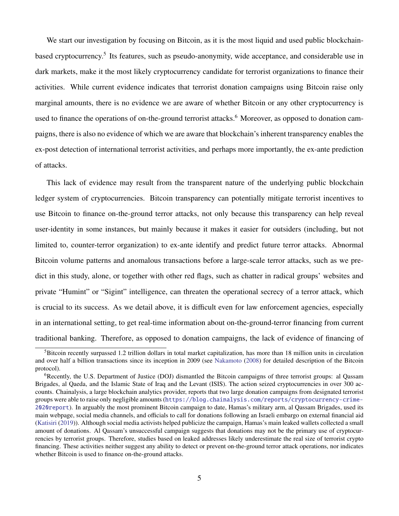We start our investigation by focusing on Bitcoin, as it is the most liquid and used public blockchainbased cryptocurrency.<sup>5</sup> Its features, such as pseudo-anonymity, wide acceptance, and considerable use in dark markets, make it the most likely cryptocurrency candidate for terrorist organizations to finance their activities. While current evidence indicates that terrorist donation campaigns using Bitcoin raise only marginal amounts, there is no evidence we are aware of whether Bitcoin or any other cryptocurrency is used to finance the operations of on-the-ground terrorist attacks.<sup>6</sup> Moreover, as opposed to donation campaigns, there is also no evidence of which we are aware that blockchain's inherent transparency enables the ex-post detection of international terrorist activities, and perhaps more importantly, the ex-ante prediction of attacks.

This lack of evidence may result from the transparent nature of the underlying public blockchain ledger system of cryptocurrencies. Bitcoin transparency can potentially mitigate terrorist incentives to use Bitcoin to finance on-the-ground terror attacks, not only because this transparency can help reveal user-identity in some instances, but mainly because it makes it easier for outsiders (including, but not limited to, counter-terror organization) to ex-ante identify and predict future terror attacks. Abnormal Bitcoin volume patterns and anomalous transactions before a large-scale terror attacks, such as we predict in this study, alone, or together with other red flags, such as chatter in radical groups' websites and private "Humint" or "Sigint" intelligence, can threaten the operational secrecy of a terror attack, which is crucial to its success. As we detail above, it is difficult even for law enforcement agencies, especially in an international setting, to get real-time information about on-the-ground-terror financing from current traditional banking. Therefore, as opposed to donation campaigns, the lack of evidence of financing of

 ${}^{5}$ Bitcoin recently surpassed 1.2 trillion dollars in total market capitalization, has more than 18 million units in circulation and over half a billion transactions since its inception in 2009 (see [Nakamoto](#page-37-0) [\(2008\)](#page-37-0) for detailed description of the Bitcoin protocol).

 $6R$ ecently, the U.S. Department of Justice (DOJ) dismantled the Bitcoin campaigns of three terrorist groups: al Qassam Brigades, al Qaeda, and the Islamic State of Iraq and the Levant (ISIS). The action seized cryptocurrencies in over 300 accounts. Chainalysis, a large blockchain analytics provider, reports that two large donation campaigns from designated terrorist groups were able to raise only negligible amounts ([https://blog.chainalysis.com/reports/cryptocurrency-crime-](https://blog.chainalysis.com/reports/cryptocurrency-crime-2020report)[2020report](https://blog.chainalysis.com/reports/cryptocurrency-crime-2020report)). In arguably the most prominent Bitcoin campaign to date, Hamas's military arm, al Qassam Brigades, used its main webpage, social media channels, and officials to call for donations following an Israeli embargo on external financial aid [\(Katisiri](#page-37-1) [\(2019\)](#page-37-1)). Although social media activists helped publicize the campaign, Hamas's main leaked wallets collected a small amount of donations. Al Qassam's unsuccessful campaign suggests that donations may not be the primary use of cryptocurrencies by terrorist groups. Therefore, studies based on leaked addresses likely underestimate the real size of terrorist crypto financing. These activities neither suggest any ability to detect or prevent on-the-ground terror attack operations, nor indicates whether Bitcoin is used to finance on-the-ground attacks.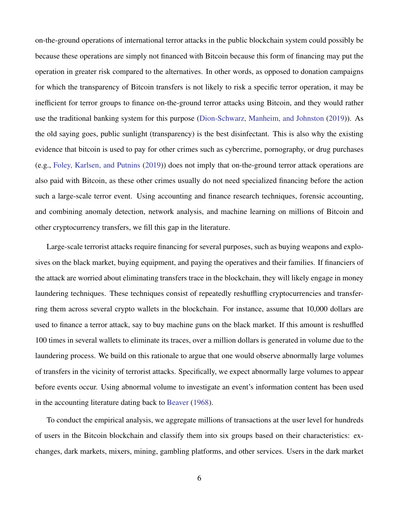on-the-ground operations of international terror attacks in the public blockchain system could possibly be because these operations are simply not financed with Bitcoin because this form of financing may put the operation in greater risk compared to the alternatives. In other words, as opposed to donation campaigns for which the transparency of Bitcoin transfers is not likely to risk a specific terror operation, it may be inefficient for terror groups to finance on-the-ground terror attacks using Bitcoin, and they would rather use the traditional banking system for this purpose [\(Dion-Schwarz, Manheim, and Johnston](#page-36-5) [\(2019\)](#page-36-5)). As the old saying goes, public sunlight (transparency) is the best disinfectant. This is also why the existing evidence that bitcoin is used to pay for other crimes such as cybercrime, pornography, or drug purchases (e.g., [Foley, Karlsen, and Putnins](#page-36-6) [\(2019\)](#page-36-6)) does not imply that on-the-ground terror attack operations are also paid with Bitcoin, as these other crimes usually do not need specialized financing before the action such a large-scale terror event. Using accounting and finance research techniques, forensic accounting, and combining anomaly detection, network analysis, and machine learning on millions of Bitcoin and other cryptocurrency transfers, we fill this gap in the literature.

Large-scale terrorist attacks require financing for several purposes, such as buying weapons and explosives on the black market, buying equipment, and paying the operatives and their families. If financiers of the attack are worried about eliminating transfers trace in the blockchain, they will likely engage in money laundering techniques. These techniques consist of repeatedly reshuffling cryptocurrencies and transferring them across several crypto wallets in the blockchain. For instance, assume that 10,000 dollars are used to finance a terror attack, say to buy machine guns on the black market. If this amount is reshuffled 100 times in several wallets to eliminate its traces, over a million dollars is generated in volume due to the laundering process. We build on this rationale to argue that one would observe abnormally large volumes of transfers in the vicinity of terrorist attacks. Specifically, we expect abnormally large volumes to appear before events occur. Using abnormal volume to investigate an event's information content has been used in the accounting literature dating back to [Beaver](#page-35-5) [\(1968\)](#page-35-5).

To conduct the empirical analysis, we aggregate millions of transactions at the user level for hundreds of users in the Bitcoin blockchain and classify them into six groups based on their characteristics: exchanges, dark markets, mixers, mining, gambling platforms, and other services. Users in the dark market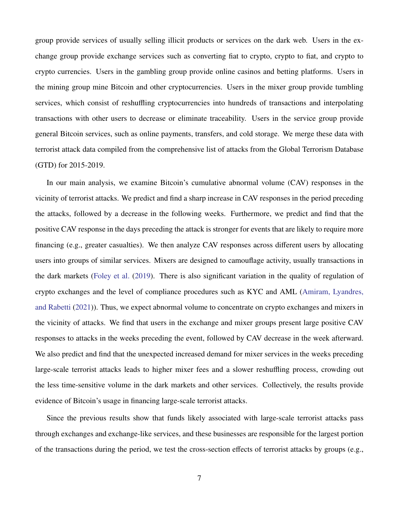group provide services of usually selling illicit products or services on the dark web. Users in the exchange group provide exchange services such as converting fiat to crypto, crypto to fiat, and crypto to crypto currencies. Users in the gambling group provide online casinos and betting platforms. Users in the mining group mine Bitcoin and other cryptocurrencies. Users in the mixer group provide tumbling services, which consist of reshuffling cryptocurrencies into hundreds of transactions and interpolating transactions with other users to decrease or eliminate traceability. Users in the service group provide general Bitcoin services, such as online payments, transfers, and cold storage. We merge these data with terrorist attack data compiled from the comprehensive list of attacks from the Global Terrorism Database (GTD) for 2015-2019.

In our main analysis, we examine Bitcoin's cumulative abnormal volume (CAV) responses in the vicinity of terrorist attacks. We predict and find a sharp increase in CAV responses in the period preceding the attacks, followed by a decrease in the following weeks. Furthermore, we predict and find that the positive CAV response in the days preceding the attack is stronger for events that are likely to require more financing (e.g., greater casualties). We then analyze CAV responses across different users by allocating users into groups of similar services. Mixers are designed to camouflage activity, usually transactions in the dark markets [\(Foley et al.](#page-36-6) [\(2019\)](#page-36-6). There is also significant variation in the quality of regulation of crypto exchanges and the level of compliance procedures such as KYC and AML [\(Amiram, Lyandres,](#page-35-6) [and Rabetti](#page-35-6) [\(2021\)](#page-35-6)). Thus, we expect abnormal volume to concentrate on crypto exchanges and mixers in the vicinity of attacks. We find that users in the exchange and mixer groups present large positive CAV responses to attacks in the weeks preceding the event, followed by CAV decrease in the week afterward. We also predict and find that the unexpected increased demand for mixer services in the weeks preceding large-scale terrorist attacks leads to higher mixer fees and a slower reshuffling process, crowding out the less time-sensitive volume in the dark markets and other services. Collectively, the results provide evidence of Bitcoin's usage in financing large-scale terrorist attacks.

Since the previous results show that funds likely associated with large-scale terrorist attacks pass through exchanges and exchange-like services, and these businesses are responsible for the largest portion of the transactions during the period, we test the cross-section effects of terrorist attacks by groups (e.g.,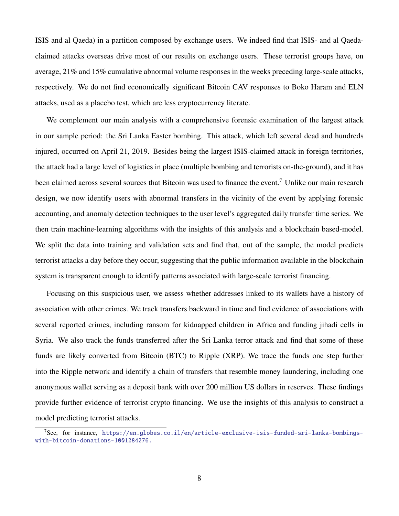ISIS and al Qaeda) in a partition composed by exchange users. We indeed find that ISIS- and al Qaedaclaimed attacks overseas drive most of our results on exchange users. These terrorist groups have, on average, 21% and 15% cumulative abnormal volume responses in the weeks preceding large-scale attacks, respectively. We do not find economically significant Bitcoin CAV responses to Boko Haram and ELN attacks, used as a placebo test, which are less cryptocurrency literate.

We complement our main analysis with a comprehensive forensic examination of the largest attack in our sample period: the Sri Lanka Easter bombing. This attack, which left several dead and hundreds injured, occurred on April 21, 2019. Besides being the largest ISIS-claimed attack in foreign territories, the attack had a large level of logistics in place (multiple bombing and terrorists on-the-ground), and it has been claimed across several sources that Bitcoin was used to finance the event.<sup>7</sup> Unlike our main research design, we now identify users with abnormal transfers in the vicinity of the event by applying forensic accounting, and anomaly detection techniques to the user level's aggregated daily transfer time series. We then train machine-learning algorithms with the insights of this analysis and a blockchain based-model. We split the data into training and validation sets and find that, out of the sample, the model predicts terrorist attacks a day before they occur, suggesting that the public information available in the blockchain system is transparent enough to identify patterns associated with large-scale terrorist financing.

Focusing on this suspicious user, we assess whether addresses linked to its wallets have a history of association with other crimes. We track transfers backward in time and find evidence of associations with several reported crimes, including ransom for kidnapped children in Africa and funding jihadi cells in Syria. We also track the funds transferred after the Sri Lanka terror attack and find that some of these funds are likely converted from Bitcoin (BTC) to Ripple (XRP). We trace the funds one step further into the Ripple network and identify a chain of transfers that resemble money laundering, including one anonymous wallet serving as a deposit bank with over 200 million US dollars in reserves. These findings provide further evidence of terrorist crypto financing. We use the insights of this analysis to construct a model predicting terrorist attacks.

 $7$ See, for instance, [https://en.globes.co.il/en/article-exclusive-isis-funded-sri-lanka-bombings](https://en.globes.co.il/en/article-exclusive-isis-funded-sri-lanka-bombings-with-bitcoin-donations-1001284276.)[with-bitcoin-donations-1001284276.](https://en.globes.co.il/en/article-exclusive-isis-funded-sri-lanka-bombings-with-bitcoin-donations-1001284276.)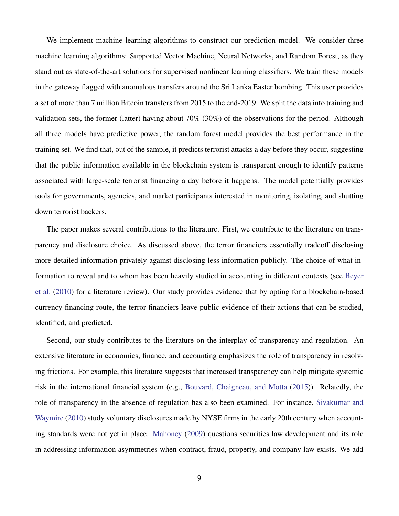We implement machine learning algorithms to construct our prediction model. We consider three machine learning algorithms: Supported Vector Machine, Neural Networks, and Random Forest, as they stand out as state-of-the-art solutions for supervised nonlinear learning classifiers. We train these models in the gateway flagged with anomalous transfers around the Sri Lanka Easter bombing. This user provides a set of more than 7 million Bitcoin transfers from 2015 to the end-2019. We split the data into training and validation sets, the former (latter) having about 70% (30%) of the observations for the period. Although all three models have predictive power, the random forest model provides the best performance in the training set. We find that, out of the sample, it predicts terrorist attacks a day before they occur, suggesting that the public information available in the blockchain system is transparent enough to identify patterns associated with large-scale terrorist financing a day before it happens. The model potentially provides tools for governments, agencies, and market participants interested in monitoring, isolating, and shutting down terrorist backers.

The paper makes several contributions to the literature. First, we contribute to the literature on transparency and disclosure choice. As discussed above, the terror financiers essentially tradeoff disclosing more detailed information privately against disclosing less information publicly. The choice of what information to reveal and to whom has been heavily studied in accounting in different contexts (see [Beyer](#page-35-1) [et al.](#page-35-1) [\(2010\)](#page-35-1) for a literature review). Our study provides evidence that by opting for a blockchain-based currency financing route, the terror financiers leave public evidence of their actions that can be studied, identified, and predicted.

Second, our study contributes to the literature on the interplay of transparency and regulation. An extensive literature in economics, finance, and accounting emphasizes the role of transparency in resolving frictions. For example, this literature suggests that increased transparency can help mitigate systemic risk in the international financial system (e.g., [Bouvard, Chaigneau, and Motta](#page-35-7) [\(2015\)](#page-35-7)). Relatedly, the role of transparency in the absence of regulation has also been examined. For instance, [Sivakumar and](#page-38-0) [Waymire](#page-38-0) [\(2010\)](#page-38-0) study voluntary disclosures made by NYSE firms in the early 20th century when accounting standards were not yet in place. [Mahoney](#page-37-2) [\(2009\)](#page-37-2) questions securities law development and its role in addressing information asymmetries when contract, fraud, property, and company law exists. We add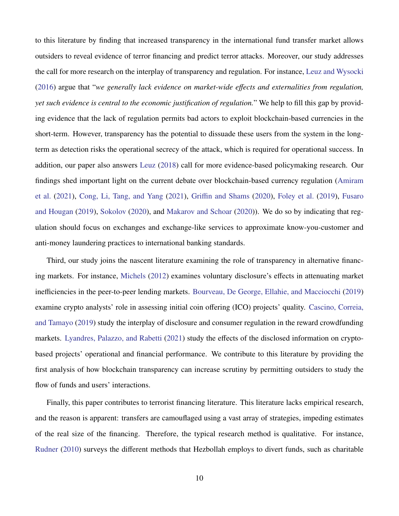to this literature by finding that increased transparency in the international fund transfer market allows outsiders to reveal evidence of terror financing and predict terror attacks. Moreover, our study addresses the call for more research on the interplay of transparency and regulation. For instance, [Leuz and Wysocki](#page-37-3) [\(2016\)](#page-37-3) argue that "*we generally lack evidence on market-wide e*ff*ects and externalities from regulation, yet such evidence is central to the economic justification of regulation.*" We help to fill this gap by providing evidence that the lack of regulation permits bad actors to exploit blockchain-based currencies in the short-term. However, transparency has the potential to dissuade these users from the system in the longterm as detection risks the operational secrecy of the attack, which is required for operational success. In addition, our paper also answers [Leuz](#page-37-4) [\(2018\)](#page-37-4) call for more evidence-based policymaking research. Our findings shed important light on the current debate over blockchain-based currency regulation [\(Amiram](#page-35-6) [et al.](#page-35-6) [\(2021\)](#page-35-6), [Cong, Li, Tang, and Yang](#page-35-8) [\(2021\)](#page-35-8), Griffi[n and Shams](#page-36-7) [\(2020\)](#page-36-7), [Foley et al.](#page-36-6) [\(2019\)](#page-36-6), [Fusaro](#page-36-8) [and Hougan](#page-36-8) [\(2019\)](#page-36-8), [Sokolov](#page-38-1) [\(2020\)](#page-38-1), and [Makarov and Schoar](#page-37-5) [\(2020\)](#page-37-5)). We do so by indicating that regulation should focus on exchanges and exchange-like services to approximate know-you-customer and anti-money laundering practices to international banking standards.

Third, our study joins the nascent literature examining the role of transparency in alternative financing markets. For instance, [Michels](#page-37-6) [\(2012\)](#page-37-6) examines voluntary disclosure's effects in attenuating market inefficiencies in the peer-to-peer lending markets. [Bourveau, De George, Ellahie, and Macciocchi](#page-35-9) [\(2019\)](#page-35-9) examine crypto analysts' role in assessing initial coin offering (ICO) projects' quality. [Cascino, Correia,](#page-35-10) [and Tamayo](#page-35-10) [\(2019\)](#page-35-10) study the interplay of disclosure and consumer regulation in the reward crowdfunding markets. [Lyandres, Palazzo, and Rabetti](#page-37-7) [\(2021\)](#page-37-7) study the effects of the disclosed information on cryptobased projects' operational and financial performance. We contribute to this literature by providing the first analysis of how blockchain transparency can increase scrutiny by permitting outsiders to study the flow of funds and users' interactions.

Finally, this paper contributes to terrorist financing literature. This literature lacks empirical research, and the reason is apparent: transfers are camouflaged using a vast array of strategies, impeding estimates of the real size of the financing. Therefore, the typical research method is qualitative. For instance, [Rudner](#page-38-2) [\(2010\)](#page-38-2) surveys the different methods that Hezbollah employs to divert funds, such as charitable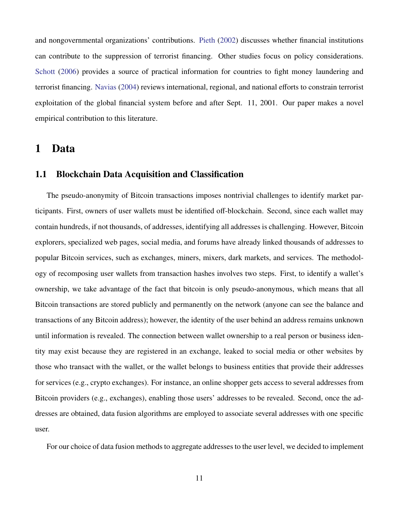and nongovernmental organizations' contributions. [Pieth](#page-37-8) [\(2002\)](#page-37-8) discusses whether financial institutions can contribute to the suppression of terrorist financing. Other studies focus on policy considerations. [Schott](#page-38-3) [\(2006\)](#page-38-3) provides a source of practical information for countries to fight money laundering and terrorist financing. [Navias](#page-37-9) [\(2004\)](#page-37-9) reviews international, regional, and national efforts to constrain terrorist exploitation of the global financial system before and after Sept. 11, 2001. Our paper makes a novel empirical contribution to this literature.

#### 1 Data

#### 1.1 Blockchain Data Acquisition and Classification

The pseudo-anonymity of Bitcoin transactions imposes nontrivial challenges to identify market participants. First, owners of user wallets must be identified off-blockchain. Second, since each wallet may contain hundreds, if not thousands, of addresses, identifying all addresses is challenging. However, Bitcoin explorers, specialized web pages, social media, and forums have already linked thousands of addresses to popular Bitcoin services, such as exchanges, miners, mixers, dark markets, and services. The methodology of recomposing user wallets from transaction hashes involves two steps. First, to identify a wallet's ownership, we take advantage of the fact that bitcoin is only pseudo-anonymous, which means that all Bitcoin transactions are stored publicly and permanently on the network (anyone can see the balance and transactions of any Bitcoin address); however, the identity of the user behind an address remains unknown until information is revealed. The connection between wallet ownership to a real person or business identity may exist because they are registered in an exchange, leaked to social media or other websites by those who transact with the wallet, or the wallet belongs to business entities that provide their addresses for services (e.g., crypto exchanges). For instance, an online shopper gets access to several addresses from Bitcoin providers (e.g., exchanges), enabling those users' addresses to be revealed. Second, once the addresses are obtained, data fusion algorithms are employed to associate several addresses with one specific user.

For our choice of data fusion methods to aggregate addresses to the user level, we decided to implement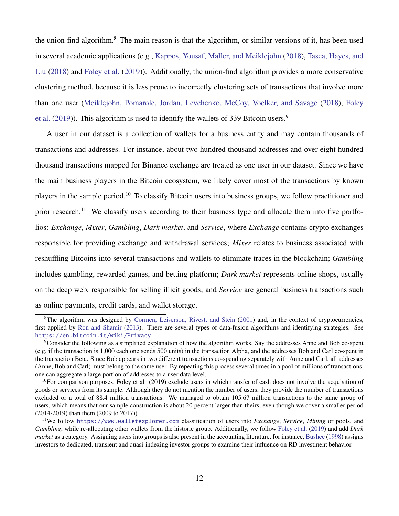the union-find algorithm.<sup>8</sup> The main reason is that the algorithm, or similar versions of it, has been used in several academic applications (e.g., [Kappos, Yousaf, Maller, and Meiklejohn](#page-36-9) [\(2018\)](#page-36-9), [Tasca, Hayes, and](#page-38-4) [Liu](#page-38-4) [\(2018\)](#page-38-4) and [Foley et al.](#page-36-6) [\(2019\)](#page-36-6)). Additionally, the union-find algorithm provides a more conservative clustering method, because it is less prone to incorrectly clustering sets of transactions that involve more than one user [\(Meiklejohn, Pomarole, Jordan, Levchenko, McCoy, Voelker, and Savage](#page-37-10) [\(2018\)](#page-37-10), [Foley](#page-36-6) [et al.](#page-36-6) [\(2019\)](#page-36-6)). This algorithm is used to identify the wallets of 339 Bitcoin users.<sup>9</sup>

A user in our dataset is a collection of wallets for a business entity and may contain thousands of transactions and addresses. For instance, about two hundred thousand addresses and over eight hundred thousand transactions mapped for Binance exchange are treated as one user in our dataset. Since we have the main business players in the Bitcoin ecosystem, we likely cover most of the transactions by known players in the sample period.<sup>10</sup> To classify Bitcoin users into business groups, we follow practitioner and prior research.<sup>11</sup> We classify users according to their business type and allocate them into five portfolios: *Exchange*, *Mixer*, *Gambling*, *Dark market*, and *Service*, where *Exchange* contains crypto exchanges responsible for providing exchange and withdrawal services; *Mixer* relates to business associated with reshuffling Bitcoins into several transactions and wallets to eliminate traces in the blockchain; *Gambling* includes gambling, rewarded games, and betting platform; *Dark market* represents online shops, usually on the deep web, responsible for selling illicit goods; and *Service* are general business transactions such as online payments, credit cards, and wallet storage.

 ${}^{8}$ The algorithm was designed by [Cormen, Leiserson, Rivest, and Stein](#page-36-10) [\(2001\)](#page-36-10) and, in the context of cryptocurrencies, first applied by [Ron and Shamir](#page-37-11) [\(2013\)](#page-37-11). There are several types of data-fusion algorithms and identifying strategies. See <https://en.bitcoin.it/wiki/Privacy>.

<sup>9</sup>Consider the following as a simplified explanation of how the algorithm works. Say the addresses Anne and Bob co-spent (e.g, if the transaction is 1,000 each one sends 500 units) in the transaction Alpha, and the addresses Bob and Carl co-spent in the transaction Beta. Since Bob appears in two different transactions co-spending separately with Anne and Carl, all addresses (Anne, Bob and Carl) must belong to the same user. By repeating this process several times in a pool of millions of transactions, one can aggregate a large portion of addresses to a user data level.

 $^{10}$ For comparison purposes, Foley et al. (2019) exclude users in which transfer of cash does not involve the acquisition of goods or services from its sample. Although they do not mention the number of users, they provide the number of transactions excluded or a total of 88.4 million transactions. We managed to obtain 105.67 million transactions to the same group of users, which means that our sample construction is about 20 percent larger than theirs, even though we cover a smaller period (2014-2019) than them (2009 to 2017)).

<sup>11</sup>We follow <https://www.walletexplorer.com> classification of users into *Exchange*, *Service*, *Mining* or pools, and *Gambling*, while re-allocating other wallets from the historic group. Additionally, we follow [Foley et al.](#page-36-6) [\(2019\)](#page-36-6) and add *Dark market* as a category. Assigning users into groups is also present in the accounting literature, for instance, [Bushee](#page-35-11) [\(1998\)](#page-35-11) assigns investors to dedicated, transient and quasi-indexing investor groups to examine their influence on RD investment behavior.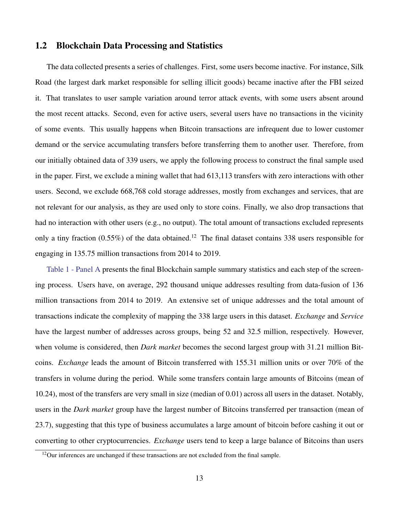#### 1.2 Blockchain Data Processing and Statistics

The data collected presents a series of challenges. First, some users become inactive. For instance, Silk Road (the largest dark market responsible for selling illicit goods) became inactive after the FBI seized it. That translates to user sample variation around terror attack events, with some users absent around the most recent attacks. Second, even for active users, several users have no transactions in the vicinity of some events. This usually happens when Bitcoin transactions are infrequent due to lower customer demand or the service accumulating transfers before transferring them to another user. Therefore, from our initially obtained data of 339 users, we apply the following process to construct the final sample used in the paper. First, we exclude a mining wallet that had 613,113 transfers with zero interactions with other users. Second, we exclude 668,768 cold storage addresses, mostly from exchanges and services, that are not relevant for our analysis, as they are used only to store coins. Finally, we also drop transactions that had no interaction with other users (e.g., no output). The total amount of transactions excluded represents only a tiny fraction  $(0.55\%)$  of the data obtained.<sup>12</sup> The final dataset contains 338 users responsible for engaging in 135.75 million transactions from 2014 to 2019.

[Table 1 - Panel A](#page-41-0) presents the final Blockchain sample summary statistics and each step of the screening process. Users have, on average, 292 thousand unique addresses resulting from data-fusion of 136 million transactions from 2014 to 2019. An extensive set of unique addresses and the total amount of transactions indicate the complexity of mapping the 338 large users in this dataset. *Exchange* and *Service* have the largest number of addresses across groups, being 52 and 32.5 million, respectively. However, when volume is considered, then *Dark market* becomes the second largest group with 31.21 million Bitcoins. *Exchange* leads the amount of Bitcoin transferred with 155.31 million units or over 70% of the transfers in volume during the period. While some transfers contain large amounts of Bitcoins (mean of 10.24), most of the transfers are very small in size (median of 0.01) across all users in the dataset. Notably, users in the *Dark market* group have the largest number of Bitcoins transferred per transaction (mean of 23.7), suggesting that this type of business accumulates a large amount of bitcoin before cashing it out or converting to other cryptocurrencies. *Exchange* users tend to keep a large balance of Bitcoins than users

<sup>&</sup>lt;sup>12</sup>Our inferences are unchanged if these transactions are not excluded from the final sample.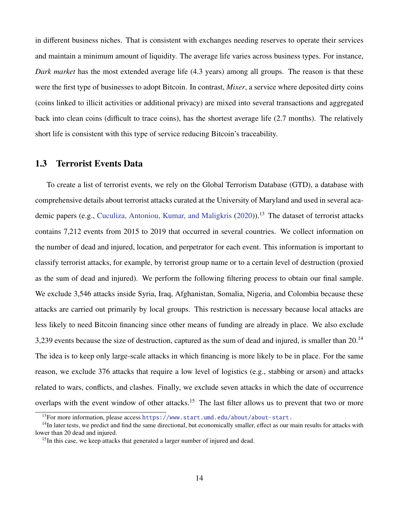in different business niches. That is consistent with exchanges needing reserves to operate their services and maintain a minimum amount of liquidity. The average life varies across business types. For instance, *Dark market* has the most extended average life (4.3 years) among all groups. The reason is that these were the first type of businesses to adopt Bitcoin. In contrast, *Mixer*, a service where deposited dirty coins (coins linked to illicit activities or additional privacy) are mixed into several transactions and aggregated back into clean coins (difficult to trace coins), has the shortest average life (2.7 months). The relatively short life is consistent with this type of service reducing Bitcoin's traceability.

#### 1.3 Terrorist Events Data

To create a list of terrorist events, we rely on the Global Terrorism Database (GTD), a database with comprehensive details about terrorist attacks curated at the University of Maryland and used in several aca-demic papers (e.g., [Cuculiza, Antoniou, Kumar, and Maligkris](#page-36-11) [\(2020\)](#page-36-11)).<sup>13</sup> The dataset of terrorist attacks contains 7,212 events from 2015 to 2019 that occurred in several countries. We collect information on the number of dead and injured, location, and perpetrator for each event. This information is important to classify terrorist attacks, for example, by terrorist group name or to a certain level of destruction (proxied as the sum of dead and injured). We perform the following filtering process to obtain our final sample. We exclude 3,546 attacks inside Syria, Iraq, Afghanistan, Somalia, Nigeria, and Colombia because these attacks are carried out primarily by local groups. This restriction is necessary because local attacks are less likely to need Bitcoin financing since other means of funding are already in place. We also exclude 3,239 events because the size of destruction, captured as the sum of dead and injured, is smaller than 20.<sup>14</sup> The idea is to keep only large-scale attacks in which financing is more likely to be in place. For the same reason, we exclude 376 attacks that require a low level of logistics (e.g., stabbing or arson) and attacks related to wars, conflicts, and clashes. Finally, we exclude seven attacks in which the date of occurrence overlaps with the event window of other attacks.<sup>15</sup> The last filter allows us to prevent that two or more

<sup>&</sup>lt;sup>13</sup>For more information, please access <https://www.start.umd.edu/about/about-start.>

<sup>&</sup>lt;sup>14</sup>In later tests, we predict and find the same directional, but economically smaller, effect as our main results for attacks with lower than 20 dead and injured.

<sup>&</sup>lt;sup>15</sup>In this case, we keep attacks that generated a larger number of injured and dead.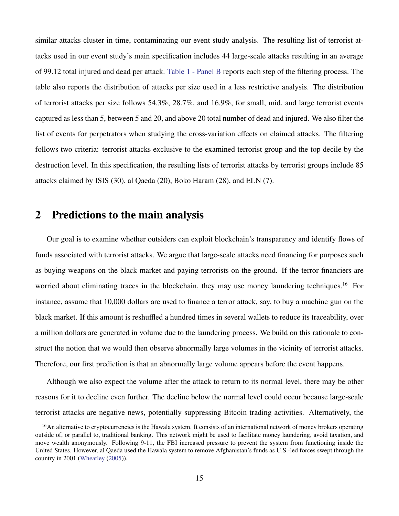similar attacks cluster in time, contaminating our event study analysis. The resulting list of terrorist attacks used in our event study's main specification includes 44 large-scale attacks resulting in an average of 99.12 total injured and dead per attack. [Table 1 - Panel B](#page-41-0) reports each step of the filtering process. The table also reports the distribution of attacks per size used in a less restrictive analysis. The distribution of terrorist attacks per size follows 54.3%, 28.7%, and 16.9%, for small, mid, and large terrorist events captured as less than 5, between 5 and 20, and above 20 total number of dead and injured. We also filter the list of events for perpetrators when studying the cross-variation effects on claimed attacks. The filtering follows two criteria: terrorist attacks exclusive to the examined terrorist group and the top decile by the destruction level. In this specification, the resulting lists of terrorist attacks by terrorist groups include 85 attacks claimed by ISIS (30), al Qaeda (20), Boko Haram (28), and ELN (7).

### 2 Predictions to the main analysis

Our goal is to examine whether outsiders can exploit blockchain's transparency and identify flows of funds associated with terrorist attacks. We argue that large-scale attacks need financing for purposes such as buying weapons on the black market and paying terrorists on the ground. If the terror financiers are worried about eliminating traces in the blockchain, they may use money laundering techniques.<sup>16</sup> For instance, assume that 10,000 dollars are used to finance a terror attack, say, to buy a machine gun on the black market. If this amount is reshuffled a hundred times in several wallets to reduce its traceability, over a million dollars are generated in volume due to the laundering process. We build on this rationale to construct the notion that we would then observe abnormally large volumes in the vicinity of terrorist attacks. Therefore, our first prediction is that an abnormally large volume appears before the event happens.

Although we also expect the volume after the attack to return to its normal level, there may be other reasons for it to decline even further. The decline below the normal level could occur because large-scale terrorist attacks are negative news, potentially suppressing Bitcoin trading activities. Alternatively, the

<sup>&</sup>lt;sup>16</sup>An alternative to cryptocurrencies is the Hawala system. It consists of an international network of money brokers operating outside of, or parallel to, traditional banking. This network might be used to facilitate money laundering, avoid taxation, and move wealth anonymously. Following 9-11, the FBI increased pressure to prevent the system from functioning inside the United States. However, al Qaeda used the Hawala system to remove Afghanistan's funds as U.S.-led forces swept through the country in 2001 [\(Wheatley](#page-38-5) [\(2005\)](#page-38-5)).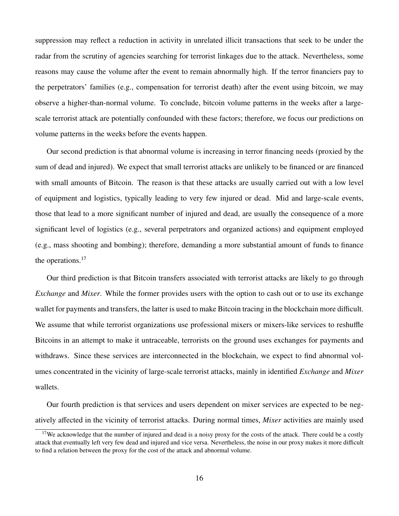suppression may reflect a reduction in activity in unrelated illicit transactions that seek to be under the radar from the scrutiny of agencies searching for terrorist linkages due to the attack. Nevertheless, some reasons may cause the volume after the event to remain abnormally high. If the terror financiers pay to the perpetrators' families (e.g., compensation for terrorist death) after the event using bitcoin, we may observe a higher-than-normal volume. To conclude, bitcoin volume patterns in the weeks after a largescale terrorist attack are potentially confounded with these factors; therefore, we focus our predictions on volume patterns in the weeks before the events happen.

Our second prediction is that abnormal volume is increasing in terror financing needs (proxied by the sum of dead and injured). We expect that small terrorist attacks are unlikely to be financed or are financed with small amounts of Bitcoin. The reason is that these attacks are usually carried out with a low level of equipment and logistics, typically leading to very few injured or dead. Mid and large-scale events, those that lead to a more significant number of injured and dead, are usually the consequence of a more significant level of logistics (e.g., several perpetrators and organized actions) and equipment employed (e.g., mass shooting and bombing); therefore, demanding a more substantial amount of funds to finance the operations.<sup>17</sup>

Our third prediction is that Bitcoin transfers associated with terrorist attacks are likely to go through *Exchange* and *Mixer*. While the former provides users with the option to cash out or to use its exchange wallet for payments and transfers, the latter is used to make Bitcoin tracing in the blockchain more difficult. We assume that while terrorist organizations use professional mixers or mixers-like services to reshuffle Bitcoins in an attempt to make it untraceable, terrorists on the ground uses exchanges for payments and withdraws. Since these services are interconnected in the blockchain, we expect to find abnormal volumes concentrated in the vicinity of large-scale terrorist attacks, mainly in identified *Exchange* and *Mixer* wallets.

Our fourth prediction is that services and users dependent on mixer services are expected to be negatively affected in the vicinity of terrorist attacks. During normal times, *Mixer* activities are mainly used

 $17$ We acknowledge that the number of injured and dead is a noisy proxy for the costs of the attack. There could be a costly attack that eventually left very few dead and injured and vice versa. Nevertheless, the noise in our proxy makes it more difficult to find a relation between the proxy for the cost of the attack and abnormal volume.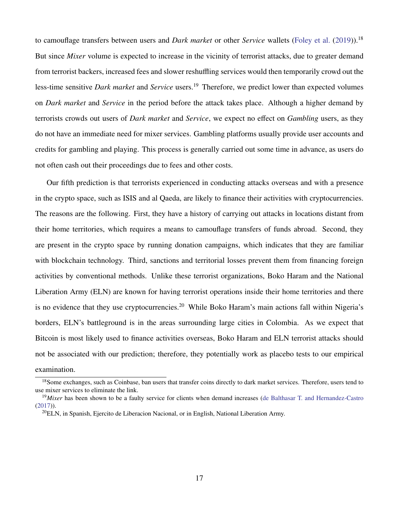to camouflage transfers between users and *Dark market* or other *Service* wallets [\(Foley et al.](#page-36-6) [\(2019\)](#page-36-6)).<sup>18</sup> But since *Mixer* volume is expected to increase in the vicinity of terrorist attacks, due to greater demand from terrorist backers, increased fees and slower reshuffling services would then temporarily crowd out the less-time sensitive *Dark market* and *Service* users.<sup>19</sup> Therefore, we predict lower than expected volumes on *Dark market* and *Service* in the period before the attack takes place. Although a higher demand by terrorists crowds out users of *Dark market* and *Service*, we expect no effect on *Gambling* users, as they do not have an immediate need for mixer services. Gambling platforms usually provide user accounts and credits for gambling and playing. This process is generally carried out some time in advance, as users do not often cash out their proceedings due to fees and other costs.

Our fifth prediction is that terrorists experienced in conducting attacks overseas and with a presence in the crypto space, such as ISIS and al Qaeda, are likely to finance their activities with cryptocurrencies. The reasons are the following. First, they have a history of carrying out attacks in locations distant from their home territories, which requires a means to camouflage transfers of funds abroad. Second, they are present in the crypto space by running donation campaigns, which indicates that they are familiar with blockchain technology. Third, sanctions and territorial losses prevent them from financing foreign activities by conventional methods. Unlike these terrorist organizations, Boko Haram and the National Liberation Army (ELN) are known for having terrorist operations inside their home territories and there is no evidence that they use cryptocurrencies.<sup>20</sup> While Boko Haram's main actions fall within Nigeria's borders, ELN's battleground is in the areas surrounding large cities in Colombia. As we expect that Bitcoin is most likely used to finance activities overseas, Boko Haram and ELN terrorist attacks should not be associated with our prediction; therefore, they potentially work as placebo tests to our empirical examination.

<sup>&</sup>lt;sup>18</sup>Some exchanges, such as Coinbase, ban users that transfer coins directly to dark market services. Therefore, users tend to use mixer services to eliminate the link.

<sup>&</sup>lt;sup>19</sup>Mixer has been shown to be a faulty service for clients when demand increases [\(de Balthasar T. and Hernandez-Castro](#page-36-12) [\(2017\)](#page-36-12)).

 $^{20}$ ELN, in Spanish, Ejercito de Liberacion Nacional, or in English, National Liberation Army.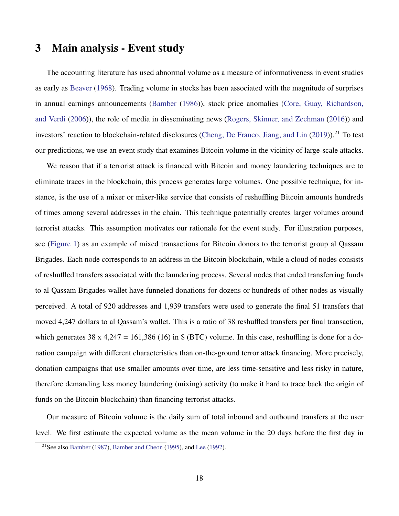## 3 Main analysis - Event study

The accounting literature has used abnormal volume as a measure of informativeness in event studies as early as [Beaver](#page-35-5) [\(1968\)](#page-35-5). Trading volume in stocks has been associated with the magnitude of surprises in annual earnings announcements [\(Bamber](#page-35-12) [\(1986\)](#page-35-12)), stock price anomalies [\(Core, Guay, Richardson,](#page-36-13) [and Verdi](#page-36-13) [\(2006\)](#page-36-13)), the role of media in disseminating news [\(Rogers, Skinner, and Zechman](#page-37-12) [\(2016\)](#page-37-12)) and investors' reaction to blockchain-related disclosures [\(Cheng, De Franco, Jiang, and Lin](#page-35-13) [\(2019\)](#page-35-13)).<sup>21</sup> To test our predictions, we use an event study that examines Bitcoin volume in the vicinity of large-scale attacks.

We reason that if a terrorist attack is financed with Bitcoin and money laundering techniques are to eliminate traces in the blockchain, this process generates large volumes. One possible technique, for instance, is the use of a mixer or mixer-like service that consists of reshuffling Bitcoin amounts hundreds of times among several addresses in the chain. This technique potentially creates larger volumes around terrorist attacks. This assumption motivates our rationale for the event study. For illustration purposes, see [\(Figure 1\)](#page-39-0) as an example of mixed transactions for Bitcoin donors to the terrorist group al Qassam Brigades. Each node corresponds to an address in the Bitcoin blockchain, while a cloud of nodes consists of reshuffled transfers associated with the laundering process. Several nodes that ended transferring funds to al Qassam Brigades wallet have funneled donations for dozens or hundreds of other nodes as visually perceived. A total of 920 addresses and 1,939 transfers were used to generate the final 51 transfers that moved 4,247 dollars to al Qassam's wallet. This is a ratio of 38 reshuffled transfers per final transaction, which generates 38 x 4,247 = 161,386 (16) in  $\frac{1}{2}$  (BTC) volume. In this case, reshuffling is done for a donation campaign with different characteristics than on-the-ground terror attack financing. More precisely, donation campaigns that use smaller amounts over time, are less time-sensitive and less risky in nature, therefore demanding less money laundering (mixing) activity (to make it hard to trace back the origin of funds on the Bitcoin blockchain) than financing terrorist attacks.

Our measure of Bitcoin volume is the daily sum of total inbound and outbound transfers at the user level. We first estimate the expected volume as the mean volume in the 20 days before the first day in

<sup>21</sup>See also [Bamber](#page-35-14) [\(1987\)](#page-35-14), [Bamber and Cheon](#page-35-15) [\(1995\)](#page-35-15), and [Lee](#page-37-13) [\(1992\)](#page-37-13).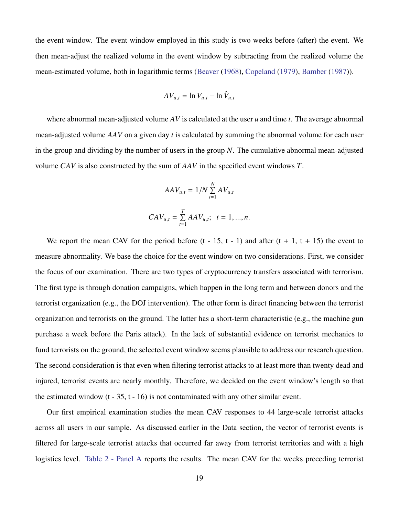the event window. The event window employed in this study is two weeks before (after) the event. We then mean-adjust the realized volume in the event window by subtracting from the realized volume the mean-estimated volume, both in logarithmic terms [\(Beaver](#page-35-5) [\(1968\)](#page-35-5), [Copeland](#page-36-14) [\(1979\)](#page-36-14), [Bamber](#page-35-14) [\(1987\)](#page-35-14)).

$$
AV_{u,t} = \ln V_{u,t} - \ln \hat{V}_{u,t}
$$

where abnormal mean-adjusted volume *AV* is calculated at the user *u* and time *t*. The average abnormal mean-adjusted volume *AAV* on a given day *t* is calculated by summing the abnormal volume for each user in the group and dividing by the number of users in the group *N*. The cumulative abnormal mean-adjusted volume *CAV* is also constructed by the sum of *AAV* in the specified event windows *T*.

$$
AAV_{u,t} = 1/N \sum_{t=1}^{N} AV_{u,t}
$$

$$
CAV_{u,t} = \sum_{t=1}^{T} AAV_{u,t}; \quad t = 1, ..., n.
$$

We report the mean CAV for the period before  $(t - 15, t - 1)$  and after  $(t + 1, t + 15)$  the event to measure abnormality. We base the choice for the event window on two considerations. First, we consider the focus of our examination. There are two types of cryptocurrency transfers associated with terrorism. The first type is through donation campaigns, which happen in the long term and between donors and the terrorist organization (e.g., the DOJ intervention). The other form is direct financing between the terrorist organization and terrorists on the ground. The latter has a short-term characteristic (e.g., the machine gun purchase a week before the Paris attack). In the lack of substantial evidence on terrorist mechanics to fund terrorists on the ground, the selected event window seems plausible to address our research question. The second consideration is that even when filtering terrorist attacks to at least more than twenty dead and injured, terrorist events are nearly monthly. Therefore, we decided on the event window's length so that the estimated window  $(t - 35, t - 16)$  is not contaminated with any other similar event.

Our first empirical examination studies the mean CAV responses to 44 large-scale terrorist attacks across all users in our sample. As discussed earlier in the Data section, the vector of terrorist events is filtered for large-scale terrorist attacks that occurred far away from terrorist territories and with a high logistics level. [Table 2 - Panel A](#page-42-0) reports the results. The mean CAV for the weeks preceding terrorist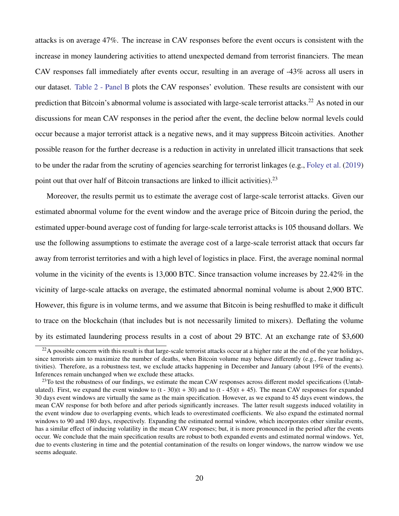attacks is on average 47%. The increase in CAV responses before the event occurs is consistent with the increase in money laundering activities to attend unexpected demand from terrorist financiers. The mean CAV responses fall immediately after events occur, resulting in an average of -43% across all users in our dataset. [Table 2 - Panel B](#page-42-0) plots the CAV responses' evolution. These results are consistent with our prediction that Bitcoin's abnormal volume is associated with large-scale terrorist attacks.<sup>22</sup> As noted in our discussions for mean CAV responses in the period after the event, the decline below normal levels could occur because a major terrorist attack is a negative news, and it may suppress Bitcoin activities. Another possible reason for the further decrease is a reduction in activity in unrelated illicit transactions that seek to be under the radar from the scrutiny of agencies searching for terrorist linkages (e.g., [Foley et al.](#page-36-6) [\(2019\)](#page-36-6) point out that over half of Bitcoin transactions are linked to illicit activities).<sup>23</sup>

Moreover, the results permit us to estimate the average cost of large-scale terrorist attacks. Given our estimated abnormal volume for the event window and the average price of Bitcoin during the period, the estimated upper-bound average cost of funding for large-scale terrorist attacks is 105 thousand dollars. We use the following assumptions to estimate the average cost of a large-scale terrorist attack that occurs far away from terrorist territories and with a high level of logistics in place. First, the average nominal normal volume in the vicinity of the events is 13,000 BTC. Since transaction volume increases by 22.42% in the vicinity of large-scale attacks on average, the estimated abnormal nominal volume is about 2,900 BTC. However, this figure is in volume terms, and we assume that Bitcoin is being reshuffled to make it difficult to trace on the blockchain (that includes but is not necessarily limited to mixers). Deflating the volume by its estimated laundering process results in a cost of about 29 BTC. At an exchange rate of \$3,600

 $22A$  possible concern with this result is that large-scale terrorist attacks occur at a higher rate at the end of the year holidays, since terrorists aim to maximize the number of deaths, when Bitcoin volume may behave differently (e.g., fewer trading activities). Therefore, as a robustness test, we exclude attacks happening in December and January (about 19% of the events). Inferences remain unchanged when we exclude these attacks.

 $^{23}$ To test the robustness of our findings, we estimate the mean CAV responses across different model specifications (Untabulated). First, we expand the event window to  $(t - 30)(t + 30)$  and to  $(t - 45)(t + 45)$ . The mean CAV responses for expanded 30 days event windows are virtually the same as the main specification. However, as we expand to 45 days event windows, the mean CAV response for both before and after periods significantly increases. The latter result suggests induced volatility in the event window due to overlapping events, which leads to overestimated coefficients. We also expand the estimated normal windows to 90 and 180 days, respectively. Expanding the estimated normal window, which incorporates other similar events, has a similar effect of inducing volatility in the mean CAV responses; but, it is more pronounced in the period after the events occur. We conclude that the main specification results are robust to both expanded events and estimated normal windows. Yet, due to events clustering in time and the potential contamination of the results on longer windows, the narrow window we use seems adequate.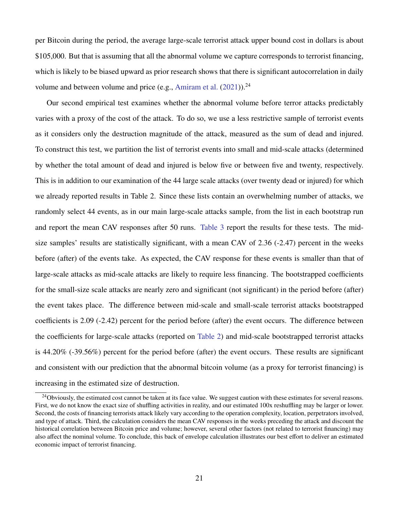per Bitcoin during the period, the average large-scale terrorist attack upper bound cost in dollars is about \$105,000. But that is assuming that all the abnormal volume we capture corresponds to terrorist financing, which is likely to be biased upward as prior research shows that there is significant autocorrelation in daily volume and between volume and price (e.g., [Amiram et al.](#page-35-6)  $(2021)$ ).<sup>24</sup>

Our second empirical test examines whether the abnormal volume before terror attacks predictably varies with a proxy of the cost of the attack. To do so, we use a less restrictive sample of terrorist events as it considers only the destruction magnitude of the attack, measured as the sum of dead and injured. To construct this test, we partition the list of terrorist events into small and mid-scale attacks (determined by whether the total amount of dead and injured is below five or between five and twenty, respectively. This is in addition to our examination of the 44 large scale attacks (over twenty dead or injured) for which we already reported results in Table 2. Since these lists contain an overwhelming number of attacks, we randomly select 44 events, as in our main large-scale attacks sample, from the list in each bootstrap run and report the mean CAV responses after 50 runs. [Table 3](#page-43-0) report the results for these tests. The midsize samples' results are statistically significant, with a mean CAV of 2.36 (-2.47) percent in the weeks before (after) of the events take. As expected, the CAV response for these events is smaller than that of large-scale attacks as mid-scale attacks are likely to require less financing. The bootstrapped coefficients for the small-size scale attacks are nearly zero and significant (not significant) in the period before (after) the event takes place. The difference between mid-scale and small-scale terrorist attacks bootstrapped coefficients is 2.09 (-2.42) percent for the period before (after) the event occurs. The difference between the coefficients for large-scale attacks (reported on [Table 2\)](#page-42-0) and mid-scale bootstrapped terrorist attacks is 44.20% (-39.56%) percent for the period before (after) the event occurs. These results are significant and consistent with our prediction that the abnormal bitcoin volume (as a proxy for terrorist financing) is increasing in the estimated size of destruction.

<sup>&</sup>lt;sup>24</sup>Obviously, the estimated cost cannot be taken at its face value. We suggest caution with these estimates for several reasons. First, we do not know the exact size of shuffling activities in reality, and our estimated 100x reshuffling may be larger or lower. Second, the costs of financing terrorists attack likely vary according to the operation complexity, location, perpetrators involved, and type of attack. Third, the calculation considers the mean CAV responses in the weeks preceding the attack and discount the historical correlation between Bitcoin price and volume; however, several other factors (not related to terrorist financing) may also affect the nominal volume. To conclude, this back of envelope calculation illustrates our best effort to deliver an estimated economic impact of terrorist financing.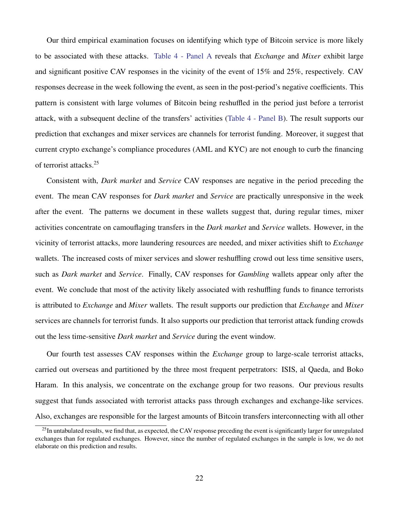Our third empirical examination focuses on identifying which type of Bitcoin service is more likely to be associated with these attacks. [Table 4 - Panel A](#page-44-0) reveals that *Exchange* and *Mixer* exhibit large and significant positive CAV responses in the vicinity of the event of 15% and 25%, respectively. CAV responses decrease in the week following the event, as seen in the post-period's negative coefficients. This pattern is consistent with large volumes of Bitcoin being reshuffled in the period just before a terrorist attack, with a subsequent decline of the transfers' activities [\(Table 4 - Panel B\)](#page-44-0). The result supports our prediction that exchanges and mixer services are channels for terrorist funding. Moreover, it suggest that current crypto exchange's compliance procedures (AML and KYC) are not enough to curb the financing of terrorist attacks.<sup>25</sup>

Consistent with, *Dark market* and *Service* CAV responses are negative in the period preceding the event. The mean CAV responses for *Dark market* and *Service* are practically unresponsive in the week after the event. The patterns we document in these wallets suggest that, during regular times, mixer activities concentrate on camouflaging transfers in the *Dark market* and *Service* wallets. However, in the vicinity of terrorist attacks, more laundering resources are needed, and mixer activities shift to *Exchange* wallets. The increased costs of mixer services and slower reshuffling crowd out less time sensitive users, such as *Dark market* and *Service*. Finally, CAV responses for *Gambling* wallets appear only after the event. We conclude that most of the activity likely associated with reshuffling funds to finance terrorists is attributed to *Exchange* and *Mixer* wallets. The result supports our prediction that *Exchange* and *Mixer* services are channels for terrorist funds. It also supports our prediction that terrorist attack funding crowds out the less time-sensitive *Dark market* and *Service* during the event window.

Our fourth test assesses CAV responses within the *Exchange* group to large-scale terrorist attacks, carried out overseas and partitioned by the three most frequent perpetrators: ISIS, al Qaeda, and Boko Haram. In this analysis, we concentrate on the exchange group for two reasons. Our previous results suggest that funds associated with terrorist attacks pass through exchanges and exchange-like services. Also, exchanges are responsible for the largest amounts of Bitcoin transfers interconnecting with all other

 $^{25}$ In untabulated results, we find that, as expected, the CAV response preceding the event is significantly larger for unregulated exchanges than for regulated exchanges. However, since the number of regulated exchanges in the sample is low, we do not elaborate on this prediction and results.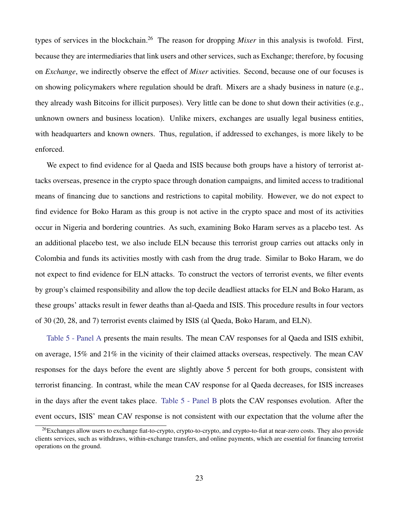types of services in the blockchain.<sup>26</sup> The reason for dropping *Mixer* in this analysis is twofold. First, because they are intermediaries that link users and other services, such as Exchange; therefore, by focusing on *Exchange*, we indirectly observe the effect of *Mixer* activities. Second, because one of our focuses is on showing policymakers where regulation should be draft. Mixers are a shady business in nature (e.g., they already wash Bitcoins for illicit purposes). Very little can be done to shut down their activities (e.g., unknown owners and business location). Unlike mixers, exchanges are usually legal business entities, with headquarters and known owners. Thus, regulation, if addressed to exchanges, is more likely to be enforced.

We expect to find evidence for al Qaeda and ISIS because both groups have a history of terrorist attacks overseas, presence in the crypto space through donation campaigns, and limited access to traditional means of financing due to sanctions and restrictions to capital mobility. However, we do not expect to find evidence for Boko Haram as this group is not active in the crypto space and most of its activities occur in Nigeria and bordering countries. As such, examining Boko Haram serves as a placebo test. As an additional placebo test, we also include ELN because this terrorist group carries out attacks only in Colombia and funds its activities mostly with cash from the drug trade. Similar to Boko Haram, we do not expect to find evidence for ELN attacks. To construct the vectors of terrorist events, we filter events by group's claimed responsibility and allow the top decile deadliest attacks for ELN and Boko Haram, as these groups' attacks result in fewer deaths than al-Qaeda and ISIS. This procedure results in four vectors of 30 (20, 28, and 7) terrorist events claimed by ISIS (al Qaeda, Boko Haram, and ELN).

[Table 5 - Panel A](#page-45-0) presents the main results. The mean CAV responses for al Qaeda and ISIS exhibit, on average, 15% and 21% in the vicinity of their claimed attacks overseas, respectively. The mean CAV responses for the days before the event are slightly above 5 percent for both groups, consistent with terrorist financing. In contrast, while the mean CAV response for al Qaeda decreases, for ISIS increases in the days after the event takes place. [Table 5 - Panel B](#page-45-0) plots the CAV responses evolution. After the event occurs, ISIS' mean CAV response is not consistent with our expectation that the volume after the

<sup>&</sup>lt;sup>26</sup>Exchanges allow users to exchange fiat-to-crypto, crypto-to-crypto, and crypto-to-fiat at near-zero costs. They also provide clients services, such as withdraws, within-exchange transfers, and online payments, which are essential for financing terrorist operations on the ground.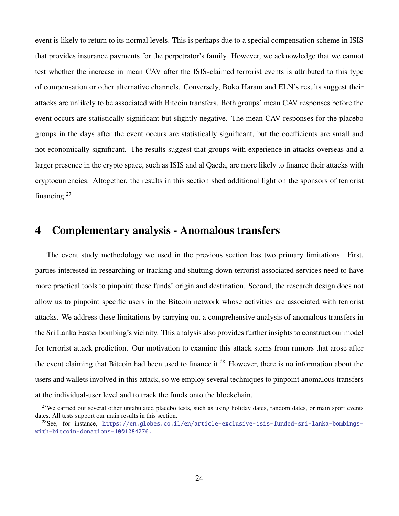event is likely to return to its normal levels. This is perhaps due to a special compensation scheme in ISIS that provides insurance payments for the perpetrator's family. However, we acknowledge that we cannot test whether the increase in mean CAV after the ISIS-claimed terrorist events is attributed to this type of compensation or other alternative channels. Conversely, Boko Haram and ELN's results suggest their attacks are unlikely to be associated with Bitcoin transfers. Both groups' mean CAV responses before the event occurs are statistically significant but slightly negative. The mean CAV responses for the placebo groups in the days after the event occurs are statistically significant, but the coefficients are small and not economically significant. The results suggest that groups with experience in attacks overseas and a larger presence in the crypto space, such as ISIS and al Qaeda, are more likely to finance their attacks with cryptocurrencies. Altogether, the results in this section shed additional light on the sponsors of terrorist financing.<sup>27</sup>

## 4 Complementary analysis - Anomalous transfers

The event study methodology we used in the previous section has two primary limitations. First, parties interested in researching or tracking and shutting down terrorist associated services need to have more practical tools to pinpoint these funds' origin and destination. Second, the research design does not allow us to pinpoint specific users in the Bitcoin network whose activities are associated with terrorist attacks. We address these limitations by carrying out a comprehensive analysis of anomalous transfers in the Sri Lanka Easter bombing's vicinity. This analysis also provides further insights to construct our model for terrorist attack prediction. Our motivation to examine this attack stems from rumors that arose after the event claiming that Bitcoin had been used to finance it.<sup>28</sup> However, there is no information about the users and wallets involved in this attack, so we employ several techniques to pinpoint anomalous transfers at the individual-user level and to track the funds onto the blockchain.

 $27$ We carried out several other untabulated placebo tests, such as using holiday dates, random dates, or main sport events dates. All tests support our main results in this section.

<sup>28</sup>See, for instance, [https://en.globes.co.il/en/article-exclusive-isis-funded-sri-lanka-bombings](https://en.globes.co.il/en/article-exclusive-isis-funded-sri-lanka-bombings-with-bitcoin-donations-1001284276.)[with-bitcoin-donations-1001284276.](https://en.globes.co.il/en/article-exclusive-isis-funded-sri-lanka-bombings-with-bitcoin-donations-1001284276.)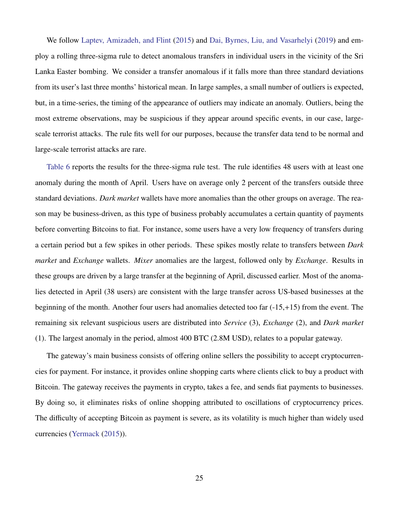We follow [Laptev, Amizadeh, and Flint](#page-37-14) [\(2015\)](#page-37-14) and [Dai, Byrnes, Liu, and Vasarhelyi](#page-36-15) [\(2019\)](#page-36-15) and employ a rolling three-sigma rule to detect anomalous transfers in individual users in the vicinity of the Sri Lanka Easter bombing. We consider a transfer anomalous if it falls more than three standard deviations from its user's last three months' historical mean. In large samples, a small number of outliers is expected, but, in a time-series, the timing of the appearance of outliers may indicate an anomaly. Outliers, being the most extreme observations, may be suspicious if they appear around specific events, in our case, largescale terrorist attacks. The rule fits well for our purposes, because the transfer data tend to be normal and large-scale terrorist attacks are rare.

[Table 6](#page-46-0) reports the results for the three-sigma rule test. The rule identifies 48 users with at least one anomaly during the month of April. Users have on average only 2 percent of the transfers outside three standard deviations. *Dark market* wallets have more anomalies than the other groups on average. The reason may be business-driven, as this type of business probably accumulates a certain quantity of payments before converting Bitcoins to fiat. For instance, some users have a very low frequency of transfers during a certain period but a few spikes in other periods. These spikes mostly relate to transfers between *Dark market* and *Exchange* wallets. *Mixer* anomalies are the largest, followed only by *Exchange*. Results in these groups are driven by a large transfer at the beginning of April, discussed earlier. Most of the anomalies detected in April (38 users) are consistent with the large transfer across US-based businesses at the beginning of the month. Another four users had anomalies detected too far (-15,+15) from the event. The remaining six relevant suspicious users are distributed into *Service* (3), *Exchange* (2), and *Dark market* (1). The largest anomaly in the period, almost 400 BTC (2.8M USD), relates to a popular gateway.

The gateway's main business consists of offering online sellers the possibility to accept cryptocurrencies for payment. For instance, it provides online shopping carts where clients click to buy a product with Bitcoin. The gateway receives the payments in crypto, takes a fee, and sends fiat payments to businesses. By doing so, it eliminates risks of online shopping attributed to oscillations of cryptocurrency prices. The difficulty of accepting Bitcoin as payment is severe, as its volatility is much higher than widely used currencies [\(Yermack](#page-38-6) [\(2015\)](#page-38-6)).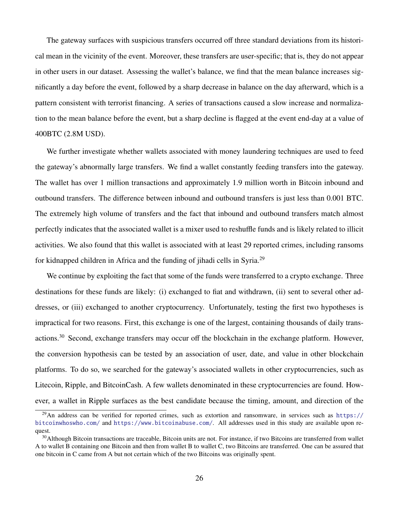The gateway surfaces with suspicious transfers occurred off three standard deviations from its historical mean in the vicinity of the event. Moreover, these transfers are user-specific; that is, they do not appear in other users in our dataset. Assessing the wallet's balance, we find that the mean balance increases significantly a day before the event, followed by a sharp decrease in balance on the day afterward, which is a pattern consistent with terrorist financing. A series of transactions caused a slow increase and normalization to the mean balance before the event, but a sharp decline is flagged at the event end-day at a value of 400BTC (2.8M USD).

We further investigate whether wallets associated with money laundering techniques are used to feed the gateway's abnormally large transfers. We find a wallet constantly feeding transfers into the gateway. The wallet has over 1 million transactions and approximately 1.9 million worth in Bitcoin inbound and outbound transfers. The difference between inbound and outbound transfers is just less than 0.001 BTC. The extremely high volume of transfers and the fact that inbound and outbound transfers match almost perfectly indicates that the associated wallet is a mixer used to reshuffle funds and is likely related to illicit activities. We also found that this wallet is associated with at least 29 reported crimes, including ransoms for kidnapped children in Africa and the funding of jihadi cells in Syria.<sup>29</sup>

We continue by exploiting the fact that some of the funds were transferred to a crypto exchange. Three destinations for these funds are likely: (i) exchanged to fiat and withdrawn, (ii) sent to several other addresses, or (iii) exchanged to another cryptocurrency. Unfortunately, testing the first two hypotheses is impractical for two reasons. First, this exchange is one of the largest, containing thousands of daily transactions.<sup>30</sup> Second, exchange transfers may occur off the blockchain in the exchange platform. However, the conversion hypothesis can be tested by an association of user, date, and value in other blockchain platforms. To do so, we searched for the gateway's associated wallets in other cryptocurrencies, such as Litecoin, Ripple, and BitcoinCash. A few wallets denominated in these cryptocurrencies are found. However, a wallet in Ripple surfaces as the best candidate because the timing, amount, and direction of the

<sup>&</sup>lt;sup>29</sup>An address can be verified for reported crimes, such as extortion and ransomware, in services such as [https://](https://bitcoinwhoswho.com/) [bitcoinwhoswho.com/](https://bitcoinwhoswho.com/) and <https://www.bitcoinabuse.com/>. All addresses used in this study are available upon request.

<sup>&</sup>lt;sup>30</sup>Although Bitcoin transactions are traceable, Bitcoin units are not. For instance, if two Bitcoins are transferred from wallet A to wallet B containing one Bitcoin and then from wallet B to wallet C, two Bitcoins are transferred. One can be assured that one bitcoin in C came from A but not certain which of the two Bitcoins was originally spent.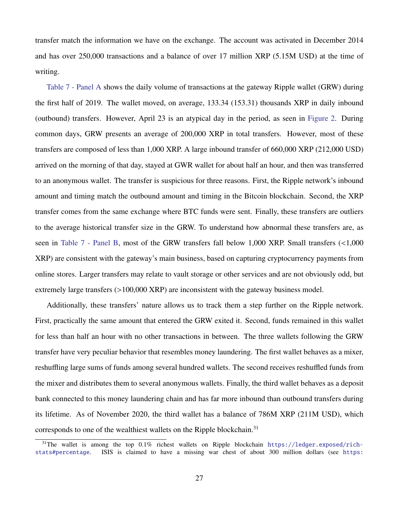transfer match the information we have on the exchange. The account was activated in December 2014 and has over 250,000 transactions and a balance of over 17 million XRP (5.15M USD) at the time of writing.

[Table 7 - Panel A](#page-47-0) shows the daily volume of transactions at the gateway Ripple wallet (GRW) during the first half of 2019. The wallet moved, on average, 133.34 (153.31) thousands XRP in daily inbound (outbound) transfers. However, April 23 is an atypical day in the period, as seen in [Figure 2.](#page-40-0) During common days, GRW presents an average of 200,000 XRP in total transfers. However, most of these transfers are composed of less than 1,000 XRP. A large inbound transfer of 660,000 XRP (212,000 USD) arrived on the morning of that day, stayed at GWR wallet for about half an hour, and then was transferred to an anonymous wallet. The transfer is suspicious for three reasons. First, the Ripple network's inbound amount and timing match the outbound amount and timing in the Bitcoin blockchain. Second, the XRP transfer comes from the same exchange where BTC funds were sent. Finally, these transfers are outliers to the average historical transfer size in the GRW. To understand how abnormal these transfers are, as seen in [Table 7 - Panel B,](#page-47-0) most of the GRW transfers fall below 1,000 XRP. Small transfers (<1,000 XRP) are consistent with the gateway's main business, based on capturing cryptocurrency payments from online stores. Larger transfers may relate to vault storage or other services and are not obviously odd, but extremely large transfers (>100,000 XRP) are inconsistent with the gateway business model.

Additionally, these transfers' nature allows us to track them a step further on the Ripple network. First, practically the same amount that entered the GRW exited it. Second, funds remained in this wallet for less than half an hour with no other transactions in between. The three wallets following the GRW transfer have very peculiar behavior that resembles money laundering. The first wallet behaves as a mixer, reshuffling large sums of funds among several hundred wallets. The second receives reshuffled funds from the mixer and distributes them to several anonymous wallets. Finally, the third wallet behaves as a deposit bank connected to this money laundering chain and has far more inbound than outbound transfers during its lifetime. As of November 2020, the third wallet has a balance of 786M XRP (211M USD), which corresponds to one of the wealthiest wallets on the Ripple blockchain.<sup>31</sup>

 $31$ The wallet is among the top 0.1% richest wallets on Ripple blockchain [https://ledger.exposed/rich](https://ledger.exposed/rich-stats##percentage)[stats#percentage](https://ledger.exposed/rich-stats##percentage). ISIS is claimed to have a missing war chest of about 300 million dollars (see [https:](https://www.thenationalnews.com/world/fears-missing-isis-millions-are-hidden-in-cryptocurrency-ready-for-use-as-war-chest-1.1021275)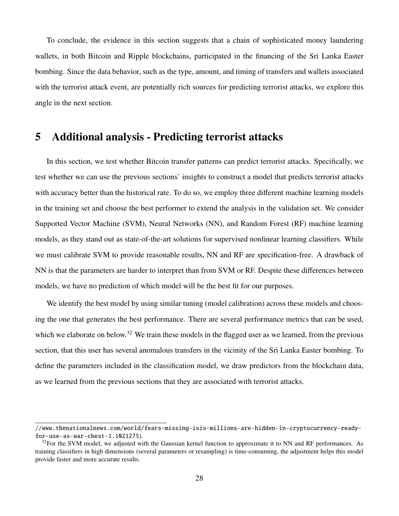[To conclude, the evidence in this section suggests that a chain of sophisticated money laundering](https://www.thenationalnews.com/world/fears-missing-isis-millions-are-hidden-in-cryptocurrency-ready-for-use-as-war-chest-1.1021275) [wallets, in both Bitcoin and Ripple blockchains, participated in the financing of the Sri Lanka Easter](https://www.thenationalnews.com/world/fears-missing-isis-millions-are-hidden-in-cryptocurrency-ready-for-use-as-war-chest-1.1021275) [bombing. Since the data behavior, such as the type, amount, and timing of transfers and wallets associated](https://www.thenationalnews.com/world/fears-missing-isis-millions-are-hidden-in-cryptocurrency-ready-for-use-as-war-chest-1.1021275) [with the terrorist attack event, are potentially rich sources for predicting terrorist attacks, we explore this](https://www.thenationalnews.com/world/fears-missing-isis-millions-are-hidden-in-cryptocurrency-ready-for-use-as-war-chest-1.1021275) [angle in the next section.](https://www.thenationalnews.com/world/fears-missing-isis-millions-are-hidden-in-cryptocurrency-ready-for-use-as-war-chest-1.1021275)

## 5 [Additional analysis - Predicting terrorist attacks](https://www.thenationalnews.com/world/fears-missing-isis-millions-are-hidden-in-cryptocurrency-ready-for-use-as-war-chest-1.1021275)

[In this section, we test whether Bitcoin transfer patterns can predict terrorist attacks. Specifically, we](https://www.thenationalnews.com/world/fears-missing-isis-millions-are-hidden-in-cryptocurrency-ready-for-use-as-war-chest-1.1021275) [test whether we can use the previous sections' insights to construct a model that predicts terrorist attacks](https://www.thenationalnews.com/world/fears-missing-isis-millions-are-hidden-in-cryptocurrency-ready-for-use-as-war-chest-1.1021275) [with accuracy better than the historical rate. To do so, we employ three di](https://www.thenationalnews.com/world/fears-missing-isis-millions-are-hidden-in-cryptocurrency-ready-for-use-as-war-chest-1.1021275)fferent machine learning models [in the training set and choose the best performer to extend the analysis in the validation set. We consider](https://www.thenationalnews.com/world/fears-missing-isis-millions-are-hidden-in-cryptocurrency-ready-for-use-as-war-chest-1.1021275) [Supported Vector Machine \(SVM\), Neural Networks \(NN\), and Random Forest \(RF\) machine learning](https://www.thenationalnews.com/world/fears-missing-isis-millions-are-hidden-in-cryptocurrency-ready-for-use-as-war-chest-1.1021275) [models, as they stand out as state-of-the-art solutions for supervised nonlinear learning classifiers. While](https://www.thenationalnews.com/world/fears-missing-isis-millions-are-hidden-in-cryptocurrency-ready-for-use-as-war-chest-1.1021275) [we must calibrate SVM to provide reasonable results, NN and RF are specification-free. A drawback of](https://www.thenationalnews.com/world/fears-missing-isis-millions-are-hidden-in-cryptocurrency-ready-for-use-as-war-chest-1.1021275) [NN is that the parameters are harder to interpret than from SVM or RF. Despite these di](https://www.thenationalnews.com/world/fears-missing-isis-millions-are-hidden-in-cryptocurrency-ready-for-use-as-war-chest-1.1021275)fferences between [models, we have no prediction of which model will be the best fit for our purposes.](https://www.thenationalnews.com/world/fears-missing-isis-millions-are-hidden-in-cryptocurrency-ready-for-use-as-war-chest-1.1021275)

[We identify the best model by using similar tuning \(model calibration\) across these models and choos](https://www.thenationalnews.com/world/fears-missing-isis-millions-are-hidden-in-cryptocurrency-ready-for-use-as-war-chest-1.1021275)[ing the one that generates the best performance. There are several performance metrics that can be used,](https://www.thenationalnews.com/world/fears-missing-isis-millions-are-hidden-in-cryptocurrency-ready-for-use-as-war-chest-1.1021275) which we elaborate on below.<sup>32</sup> [We train these models in the flagged user as we learned, from the previous](https://www.thenationalnews.com/world/fears-missing-isis-millions-are-hidden-in-cryptocurrency-ready-for-use-as-war-chest-1.1021275) [section, that this user has several anomalous transfers in the vicinity of the Sri Lanka Easter bombing. To](https://www.thenationalnews.com/world/fears-missing-isis-millions-are-hidden-in-cryptocurrency-ready-for-use-as-war-chest-1.1021275) [define the parameters included in the classification model, we draw predictors from the blockchain data,](https://www.thenationalnews.com/world/fears-missing-isis-millions-are-hidden-in-cryptocurrency-ready-for-use-as-war-chest-1.1021275) [as we learned from the previous sections that they are associated with terrorist attacks.](https://www.thenationalnews.com/world/fears-missing-isis-millions-are-hidden-in-cryptocurrency-ready-for-use-as-war-chest-1.1021275)

[<sup>//</sup>www.thenationalnews.com/world/fears-missing-isis-millions-are-hidden-in-cryptocurrency-ready](https://www.thenationalnews.com/world/fears-missing-isis-millions-are-hidden-in-cryptocurrency-ready-for-use-as-war-chest-1.1021275)[for-use-as-war-chest-1.1021275](https://www.thenationalnews.com/world/fears-missing-isis-millions-are-hidden-in-cryptocurrency-ready-for-use-as-war-chest-1.1021275)).

 $32$ For the SVM model, we adjusted with the Gaussian kernel function to approximate it to NN and RF performances. As training classifiers in high dimensions (several parameters or resampling) is time-consuming, the adjustment helps this model provide faster and more accurate results.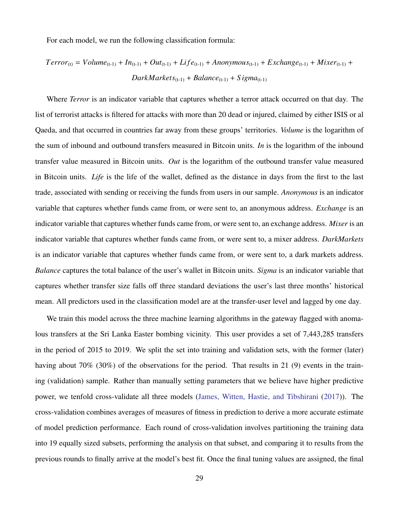For each model, we run the following classification formula:

$$
Terror_{(t)} = Volume_{(t-1)} + In_{(t-1)} + Out_{(t-1)} + Life_{(t-1)} + Anonymous_{(t-1)} + Exchange_{(t-1)} + Mixer_{(t-1)} + DarkMarkets_{(t-1)} + Balance_{(t-1)} + Sigma_{(t-1)}
$$

Where *Terror* is an indicator variable that captures whether a terror attack occurred on that day. The list of terrorist attacks is filtered for attacks with more than 20 dead or injured, claimed by either ISIS or al Qaeda, and that occurred in countries far away from these groups' territories. *Volume* is the logarithm of the sum of inbound and outbound transfers measured in Bitcoin units. *In* is the logarithm of the inbound transfer value measured in Bitcoin units. *Out* is the logarithm of the outbound transfer value measured in Bitcoin units. *Life* is the life of the wallet, defined as the distance in days from the first to the last trade, associated with sending or receiving the funds from users in our sample. *Anonymous* is an indicator variable that captures whether funds came from, or were sent to, an anonymous address. *Exchange* is an indicator variable that captures whether funds came from, or were sent to, an exchange address. *Mixer* is an indicator variable that captures whether funds came from, or were sent to, a mixer address. *DarkMarkets* is an indicator variable that captures whether funds came from, or were sent to, a dark markets address. *Balance* captures the total balance of the user's wallet in Bitcoin units. *Sigma* is an indicator variable that captures whether transfer size falls off three standard deviations the user's last three months' historical mean. All predictors used in the classification model are at the transfer-user level and lagged by one day.

We train this model across the three machine learning algorithms in the gateway flagged with anomalous transfers at the Sri Lanka Easter bombing vicinity. This user provides a set of 7,443,285 transfers in the period of 2015 to 2019. We split the set into training and validation sets, with the former (later) having about 70% (30%) of the observations for the period. That results in 21 (9) events in the training (validation) sample. Rather than manually setting parameters that we believe have higher predictive power, we tenfold cross-validate all three models [\(James, Witten, Hastie, and Tibshirani](#page-36-16) [\(2017\)](#page-36-16)). The cross-validation combines averages of measures of fitness in prediction to derive a more accurate estimate of model prediction performance. Each round of cross-validation involves partitioning the training data into 19 equally sized subsets, performing the analysis on that subset, and comparing it to results from the previous rounds to finally arrive at the model's best fit. Once the final tuning values are assigned, the final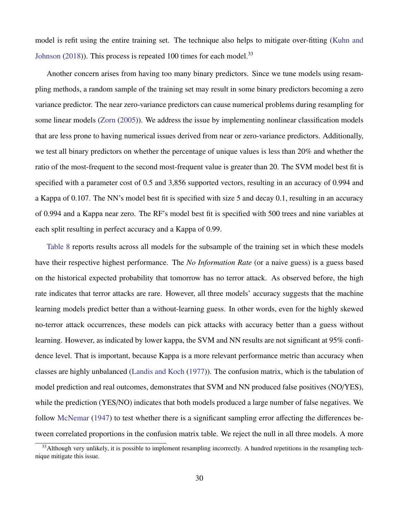model is refit using the entire training set. The technique also helps to mitigate over-fitting [\(Kuhn and](#page-37-15) [Johnson](#page-37-15) [\(2018\)](#page-37-15)). This process is repeated 100 times for each model.<sup>33</sup>

Another concern arises from having too many binary predictors. Since we tune models using resampling methods, a random sample of the training set may result in some binary predictors becoming a zero variance predictor. The near zero-variance predictors can cause numerical problems during resampling for some linear models [\(Zorn](#page-38-7) [\(2005\)](#page-38-7)). We address the issue by implementing nonlinear classification models that are less prone to having numerical issues derived from near or zero-variance predictors. Additionally, we test all binary predictors on whether the percentage of unique values is less than 20% and whether the ratio of the most-frequent to the second most-frequent value is greater than 20. The SVM model best fit is specified with a parameter cost of 0.5 and 3,856 supported vectors, resulting in an accuracy of 0.994 and a Kappa of 0.107. The NN's model best fit is specified with size 5 and decay 0.1, resulting in an accuracy of 0.994 and a Kappa near zero. The RF's model best fit is specified with 500 trees and nine variables at each split resulting in perfect accuracy and a Kappa of 0.99.

[Table 8](#page-48-0) reports results across all models for the subsample of the training set in which these models have their respective highest performance. The *No Information Rate* (or a naive guess) is a guess based on the historical expected probability that tomorrow has no terror attack. As observed before, the high rate indicates that terror attacks are rare. However, all three models' accuracy suggests that the machine learning models predict better than a without-learning guess. In other words, even for the highly skewed no-terror attack occurrences, these models can pick attacks with accuracy better than a guess without learning. However, as indicated by lower kappa, the SVM and NN results are not significant at 95% confidence level. That is important, because Kappa is a more relevant performance metric than accuracy when classes are highly unbalanced [\(Landis and Koch](#page-37-16) [\(1977\)](#page-37-16)). The confusion matrix, which is the tabulation of model prediction and real outcomes, demonstrates that SVM and NN produced false positives (NO/YES), while the prediction (YES/NO) indicates that both models produced a large number of false negatives. We follow [McNemar](#page-37-17) [\(1947\)](#page-37-17) to test whether there is a significant sampling error affecting the differences between correlated proportions in the confusion matrix table. We reject the null in all three models. A more

<sup>&</sup>lt;sup>33</sup>Although very unlikely, it is possible to implement resampling incorrectly. A hundred repetitions in the resampling technique mitigate this issue.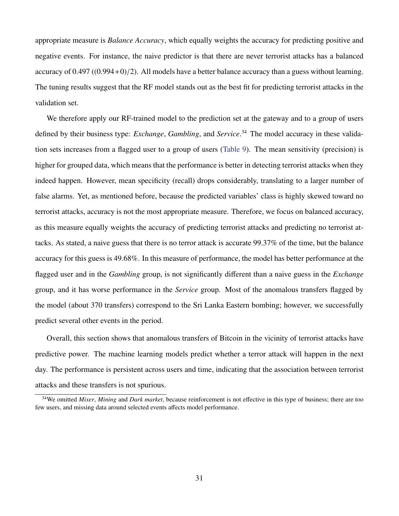appropriate measure is *Balance Accuracy*, which equally weights the accuracy for predicting positive and negative events. For instance, the naive predictor is that there are never terrorist attacks has a balanced accuracy of  $0.497 ((0.994+0)/2)$ . All models have a better balance accuracy than a guess without learning. The tuning results suggest that the RF model stands out as the best fit for predicting terrorist attacks in the validation set.

We therefore apply our RF-trained model to the prediction set at the gateway and to a group of users defined by their business type: *Exchange*, *Gambling*, and *Service*. <sup>34</sup> The model accuracy in these validation sets increases from a flagged user to a group of users [\(Table 9\)](#page-49-0). The mean sensitivity (precision) is higher for grouped data, which means that the performance is better in detecting terrorist attacks when they indeed happen. However, mean specificity (recall) drops considerably, translating to a larger number of false alarms. Yet, as mentioned before, because the predicted variables' class is highly skewed toward no terrorist attacks, accuracy is not the most appropriate measure. Therefore, we focus on balanced accuracy, as this measure equally weights the accuracy of predicting terrorist attacks and predicting no terrorist attacks. As stated, a naive guess that there is no terror attack is accurate 99.37% of the time, but the balance accuracy for this guess is 49.68%. In this measure of performance, the model has better performance at the flagged user and in the *Gambling* group, is not significantly different than a naive guess in the *Exchange* group, and it has worse performance in the *Service* group. Most of the anomalous transfers flagged by the model (about 370 transfers) correspond to the Sri Lanka Eastern bombing; however, we successfully predict several other events in the period.

Overall, this section shows that anomalous transfers of Bitcoin in the vicinity of terrorist attacks have predictive power. The machine learning models predict whether a terror attack will happen in the next day. The performance is persistent across users and time, indicating that the association between terrorist attacks and these transfers is not spurious.

<sup>34</sup>We omitted *Mixer*, *Mining* and *Dark market*, because reinforcement is not effective in this type of business; there are too few users, and missing data around selected events affects model performance.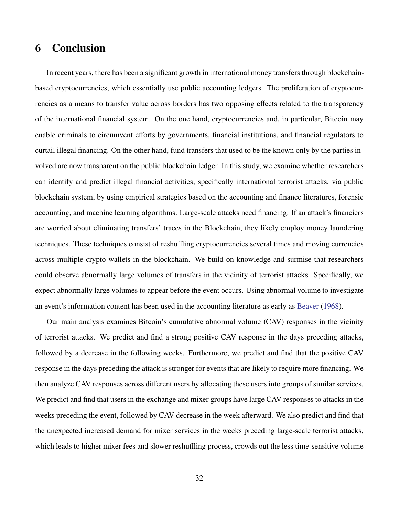# 6 Conclusion

In recent years, there has been a significant growth in international money transfers through blockchainbased cryptocurrencies, which essentially use public accounting ledgers. The proliferation of cryptocurrencies as a means to transfer value across borders has two opposing effects related to the transparency of the international financial system. On the one hand, cryptocurrencies and, in particular, Bitcoin may enable criminals to circumvent efforts by governments, financial institutions, and financial regulators to curtail illegal financing. On the other hand, fund transfers that used to be the known only by the parties involved are now transparent on the public blockchain ledger. In this study, we examine whether researchers can identify and predict illegal financial activities, specifically international terrorist attacks, via public blockchain system, by using empirical strategies based on the accounting and finance literatures, forensic accounting, and machine learning algorithms. Large-scale attacks need financing. If an attack's financiers are worried about eliminating transfers' traces in the Blockchain, they likely employ money laundering techniques. These techniques consist of reshuffling cryptocurrencies several times and moving currencies across multiple crypto wallets in the blockchain. We build on knowledge and surmise that researchers could observe abnormally large volumes of transfers in the vicinity of terrorist attacks. Specifically, we expect abnormally large volumes to appear before the event occurs. Using abnormal volume to investigate an event's information content has been used in the accounting literature as early as [Beaver](#page-35-5) [\(1968\)](#page-35-5).

Our main analysis examines Bitcoin's cumulative abnormal volume (CAV) responses in the vicinity of terrorist attacks. We predict and find a strong positive CAV response in the days preceding attacks, followed by a decrease in the following weeks. Furthermore, we predict and find that the positive CAV response in the days preceding the attack is stronger for events that are likely to require more financing. We then analyze CAV responses across different users by allocating these users into groups of similar services. We predict and find that users in the exchange and mixer groups have large CAV responses to attacks in the weeks preceding the event, followed by CAV decrease in the week afterward. We also predict and find that the unexpected increased demand for mixer services in the weeks preceding large-scale terrorist attacks, which leads to higher mixer fees and slower reshuffling process, crowds out the less time-sensitive volume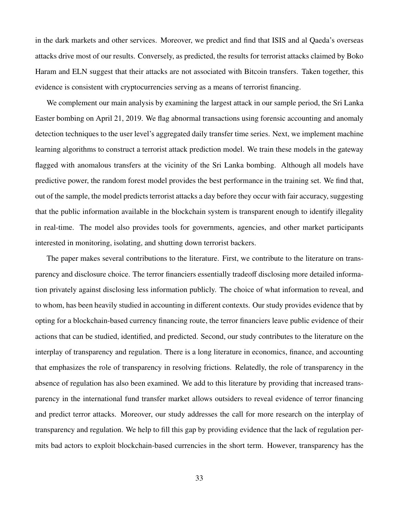in the dark markets and other services. Moreover, we predict and find that ISIS and al Qaeda's overseas attacks drive most of our results. Conversely, as predicted, the results for terrorist attacks claimed by Boko Haram and ELN suggest that their attacks are not associated with Bitcoin transfers. Taken together, this evidence is consistent with cryptocurrencies serving as a means of terrorist financing.

We complement our main analysis by examining the largest attack in our sample period, the Sri Lanka Easter bombing on April 21, 2019. We flag abnormal transactions using forensic accounting and anomaly detection techniques to the user level's aggregated daily transfer time series. Next, we implement machine learning algorithms to construct a terrorist attack prediction model. We train these models in the gateway flagged with anomalous transfers at the vicinity of the Sri Lanka bombing. Although all models have predictive power, the random forest model provides the best performance in the training set. We find that, out of the sample, the model predicts terrorist attacks a day before they occur with fair accuracy, suggesting that the public information available in the blockchain system is transparent enough to identify illegality in real-time. The model also provides tools for governments, agencies, and other market participants interested in monitoring, isolating, and shutting down terrorist backers.

The paper makes several contributions to the literature. First, we contribute to the literature on transparency and disclosure choice. The terror financiers essentially tradeoff disclosing more detailed information privately against disclosing less information publicly. The choice of what information to reveal, and to whom, has been heavily studied in accounting in different contexts. Our study provides evidence that by opting for a blockchain-based currency financing route, the terror financiers leave public evidence of their actions that can be studied, identified, and predicted. Second, our study contributes to the literature on the interplay of transparency and regulation. There is a long literature in economics, finance, and accounting that emphasizes the role of transparency in resolving frictions. Relatedly, the role of transparency in the absence of regulation has also been examined. We add to this literature by providing that increased transparency in the international fund transfer market allows outsiders to reveal evidence of terror financing and predict terror attacks. Moreover, our study addresses the call for more research on the interplay of transparency and regulation. We help to fill this gap by providing evidence that the lack of regulation permits bad actors to exploit blockchain-based currencies in the short term. However, transparency has the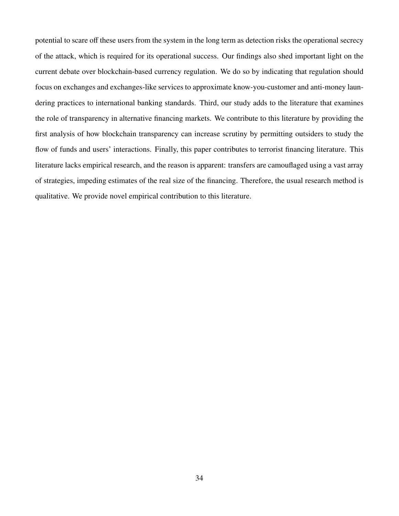potential to scare off these users from the system in the long term as detection risks the operational secrecy of the attack, which is required for its operational success. Our findings also shed important light on the current debate over blockchain-based currency regulation. We do so by indicating that regulation should focus on exchanges and exchanges-like services to approximate know-you-customer and anti-money laundering practices to international banking standards. Third, our study adds to the literature that examines the role of transparency in alternative financing markets. We contribute to this literature by providing the first analysis of how blockchain transparency can increase scrutiny by permitting outsiders to study the flow of funds and users' interactions. Finally, this paper contributes to terrorist financing literature. This literature lacks empirical research, and the reason is apparent: transfers are camouflaged using a vast array of strategies, impeding estimates of the real size of the financing. Therefore, the usual research method is qualitative. We provide novel empirical contribution to this literature.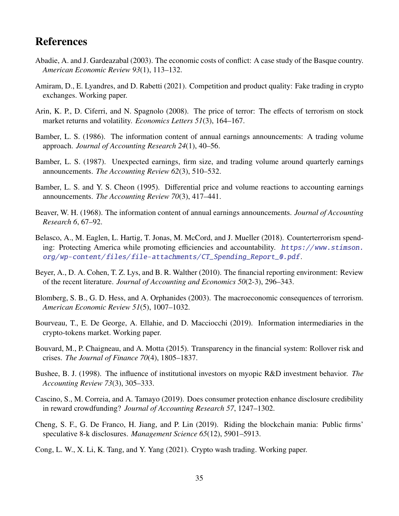# References

- <span id="page-35-2"></span>Abadie, A. and J. Gardeazabal (2003). The economic costs of conflict: A case study of the Basque country. *American Economic Review 93*(1), 113–132.
- <span id="page-35-6"></span>Amiram, D., E. Lyandres, and D. Rabetti (2021). Competition and product quality: Fake trading in crypto exchanges. Working paper.
- <span id="page-35-4"></span>Arin, K. P., D. Ciferri, and N. Spagnolo (2008). The price of terror: The effects of terrorism on stock market returns and volatility. *Economics Letters 51*(3), 164–167.
- <span id="page-35-12"></span>Bamber, L. S. (1986). The information content of annual earnings announcements: A trading volume approach. *Journal of Accounting Research 24*(1), 40–56.
- <span id="page-35-14"></span>Bamber, L. S. (1987). Unexpected earnings, firm size, and trading volume around quarterly earnings announcements. *The Accounting Review 62*(3), 510–532.
- <span id="page-35-15"></span>Bamber, L. S. and Y. S. Cheon (1995). Differential price and volume reactions to accounting earnings announcements. *The Accounting Review 70*(3), 417–441.
- <span id="page-35-5"></span>Beaver, W. H. (1968). The information content of annual earnings announcements. *Journal of Accounting Research 6*, 67–92.
- <span id="page-35-0"></span>Belasco, A., M. Eaglen, L. Hartig, T. Jonas, M. McCord, and J. Mueller (2018). Counterterrorism spending: Protecting America while promoting efficiencies and accountability. [https://www.stimson.](https://www.stimson.org/wp-content/files/file-attachments/CT_Spending_Report_0.pdf) [org/wp-content/files/file-attachments/CT\\_Spending\\_Report\\_0.pdf](https://www.stimson.org/wp-content/files/file-attachments/CT_Spending_Report_0.pdf).
- <span id="page-35-1"></span>Beyer, A., D. A. Cohen, T. Z. Lys, and B. R. Walther (2010). The financial reporting environment: Review of the recent literature. *Journal of Accounting and Economics 50*(2-3), 296–343.
- <span id="page-35-3"></span>Blomberg, S. B., G. D. Hess, and A. Orphanides (2003). The macroeconomic consequences of terrorism. *American Economic Review 51*(5), 1007–1032.
- <span id="page-35-9"></span>Bourveau, T., E. De George, A. Ellahie, and D. Macciocchi (2019). Information intermediaries in the crypto-tokens market. Working paper.
- <span id="page-35-7"></span>Bouvard, M., P. Chaigneau, and A. Motta (2015). Transparency in the financial system: Rollover risk and crises. *The Journal of Finance 70*(4), 1805–1837.
- <span id="page-35-11"></span>Bushee, B. J. (1998). The influence of institutional investors on myopic R&D investment behavior. *The Accounting Review 73*(3), 305–333.
- <span id="page-35-10"></span>Cascino, S., M. Correia, and A. Tamayo (2019). Does consumer protection enhance disclosure credibility in reward crowdfunding? *Journal of Accounting Research 57*, 1247–1302.
- <span id="page-35-13"></span>Cheng, S. F., G. De Franco, H. Jiang, and P. Lin (2019). Riding the blockchain mania: Public firms' speculative 8-k disclosures. *Management Science 65*(12), 5901–5913.
- <span id="page-35-8"></span>Cong, L. W., X. Li, K. Tang, and Y. Yang (2021). Crypto wash trading. Working paper.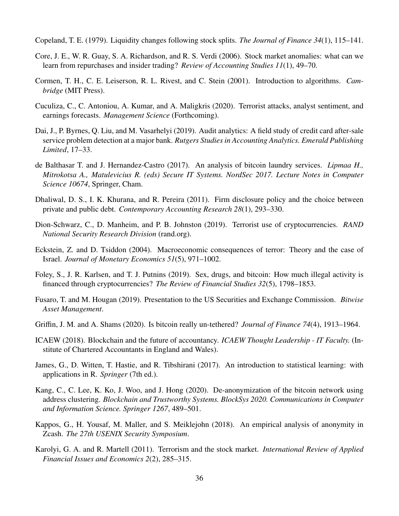<span id="page-36-14"></span>Copeland, T. E. (1979). Liquidity changes following stock splits. *The Journal of Finance 34*(1), 115–141.

- <span id="page-36-13"></span>Core, J. E., W. R. Guay, S. A. Richardson, and R. S. Verdi (2006). Stock market anomalies: what can we learn from repurchases and insider trading? *Review of Accounting Studies 11*(1), 49–70.
- <span id="page-36-10"></span>Cormen, T. H., C. E. Leiserson, R. L. Rivest, and C. Stein (2001). Introduction to algorithms. *Cambridge* (MIT Press).
- <span id="page-36-11"></span>Cuculiza, C., C. Antoniou, A. Kumar, and A. Maligkris (2020). Terrorist attacks, analyst sentiment, and earnings forecasts. *Management Science* (Forthcoming).
- <span id="page-36-15"></span>Dai, J., P. Byrnes, Q. Liu, and M. Vasarhelyi (2019). Audit analytics: A field study of credit card after-sale service problem detection at a major bank. *Rutgers Studies in Accounting Analytics. Emerald Publishing Limited*, 17–33.
- <span id="page-36-12"></span>de Balthasar T. and J. Hernandez-Castro (2017). An analysis of bitcoin laundry services. *Lipmaa H., Mitrokotsa A., Matulevicius R. (eds) Secure IT Systems. NordSec 2017. Lecture Notes in Computer Science 10674*, Springer, Cham.
- <span id="page-36-2"></span>Dhaliwal, D. S., I. K. Khurana, and R. Pereira (2011). Firm disclosure policy and the choice between private and public debt. *Contemporary Accounting Research 28*(1), 293–330.
- <span id="page-36-5"></span>Dion-Schwarz, C., D. Manheim, and P. B. Johnston (2019). Terrorist use of cryptocurrencies. *RAND National Security Research Division* (rand.org).
- <span id="page-36-3"></span>Eckstein, Z. and D. Tsiddon (2004). Macroeconomic consequences of terror: Theory and the case of Israel. *Journal of Monetary Economics 51*(5), 971–1002.
- <span id="page-36-6"></span>Foley, S., J. R. Karlsen, and T. J. Putnins (2019). Sex, drugs, and bitcoin: How much illegal activity is financed through cryptocurrencies? *The Review of Financial Studies 32*(5), 1798–1853.
- <span id="page-36-8"></span>Fusaro, T. and M. Hougan (2019). Presentation to the US Securities and Exchange Commission. *Bitwise Asset Management*.
- <span id="page-36-7"></span>Griffin, J. M. and A. Shams (2020). Is bitcoin really un-tethered? *Journal of Finance 74*(4), 1913–1964.
- <span id="page-36-0"></span>ICAEW (2018). Blockchain and the future of accountancy. *ICAEW Thought Leadership - IT Faculty.* (Institute of Chartered Accountants in England and Wales).
- <span id="page-36-16"></span>James, G., D. Witten, T. Hastie, and R. Tibshirani (2017). An introduction to statistical learning: with applications in R. *Springer* (7th ed.).
- <span id="page-36-1"></span>Kang, C., C. Lee, K. Ko, J. Woo, and J. Hong (2020). De-anonymization of the bitcoin network using address clustering. *Blockchain and Trustworthy Systems. BlockSys 2020. Communications in Computer and Information Science. Springer 1267*, 489–501.
- <span id="page-36-9"></span>Kappos, G., H. Yousaf, M. Maller, and S. Meiklejohn (2018). An empirical analysis of anonymity in Zcash. *The 27th USENIX Security Symposium*.
- <span id="page-36-4"></span>Karolyi, G. A. and R. Martell (2011). Terrorism and the stock market. *International Review of Applied Financial Issues and Economics 2*(2), 285–315.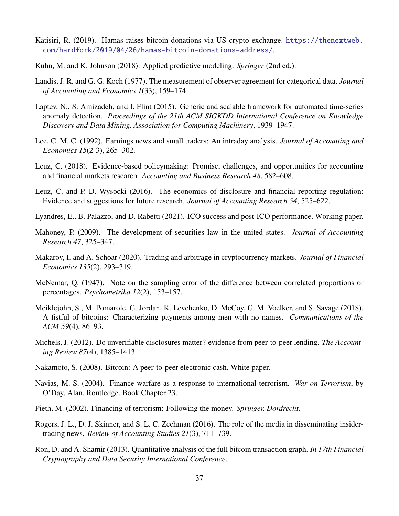- <span id="page-37-1"></span>Katisiri, R. (2019). Hamas raises bitcoin donations via US crypto exchange. [https://thenextweb.](https://thenextweb.com/hardfork/2019/04/26/hamas-bitcoin-donations-address/) [com/hardfork/2019/04/26/hamas-bitcoin-donations-address/](https://thenextweb.com/hardfork/2019/04/26/hamas-bitcoin-donations-address/).
- <span id="page-37-15"></span>Kuhn, M. and K. Johnson (2018). Applied predictive modeling. *Springer* (2nd ed.).
- <span id="page-37-16"></span>Landis, J. R. and G. G. Koch (1977). The measurement of observer agreement for categorical data. *Journal of Accounting and Economics 1*(33), 159–174.
- <span id="page-37-14"></span>Laptev, N., S. Amizadeh, and I. Flint (2015). Generic and scalable framework for automated time-series anomaly detection. *Proceedings of the 21th ACM SIGKDD International Conference on Knowledge Discovery and Data Mining. Association for Computing Machinery*, 1939–1947.
- <span id="page-37-13"></span>Lee, C. M. C. (1992). Earnings news and small traders: An intraday analysis. *Journal of Accounting and Economics 15*(2-3), 265–302.
- <span id="page-37-4"></span>Leuz, C. (2018). Evidence-based policymaking: Promise, challenges, and opportunities for accounting and financial markets research. *Accounting and Business Research 48*, 582–608.
- <span id="page-37-3"></span>Leuz, C. and P. D. Wysocki (2016). The economics of disclosure and financial reporting regulation: Evidence and suggestions for future research. *Journal of Accounting Research 54*, 525–622.
- <span id="page-37-7"></span>Lyandres, E., B. Palazzo, and D. Rabetti (2021). ICO success and post-ICO performance. Working paper.
- <span id="page-37-2"></span>Mahoney, P. (2009). The development of securities law in the united states. *Journal of Accounting Research 47*, 325–347.
- <span id="page-37-5"></span>Makarov, I. and A. Schoar (2020). Trading and arbitrage in cryptocurrency markets. *Journal of Financial Economics 135*(2), 293–319.
- <span id="page-37-17"></span>McNemar, Q. (1947). Note on the sampling error of the difference between correlated proportions or percentages. *Psychometrika 12*(2), 153–157.
- <span id="page-37-10"></span>Meiklejohn, S., M. Pomarole, G. Jordan, K. Levchenko, D. McCoy, G. M. Voelker, and S. Savage (2018). A fistful of bitcoins: Characterizing payments among men with no names. *Communications of the ACM 59*(4), 86–93.
- <span id="page-37-6"></span>Michels, J. (2012). Do unverifiable disclosures matter? evidence from peer-to-peer lending. *The Accounting Review 87*(4), 1385–1413.
- <span id="page-37-0"></span>Nakamoto, S. (2008). Bitcoin: A peer-to-peer electronic cash. White paper.
- <span id="page-37-9"></span>Navias, M. S. (2004). Finance warfare as a response to international terrorism. *War on Terrorism*, by O'Day, Alan, Routledge. Book Chapter 23.
- <span id="page-37-8"></span>Pieth, M. (2002). Financing of terrorism: Following the money. *Springer, Dordrecht*.
- <span id="page-37-12"></span>Rogers, J. L., D. J. Skinner, and S. L. C. Zechman (2016). The role of the media in disseminating insidertrading news. *Review of Accounting Studies 21*(3), 711–739.
- <span id="page-37-11"></span>Ron, D. and A. Shamir (2013). Quantitative analysis of the full bitcoin transaction graph. *In 17th Financial Cryptography and Data Security International Conference*.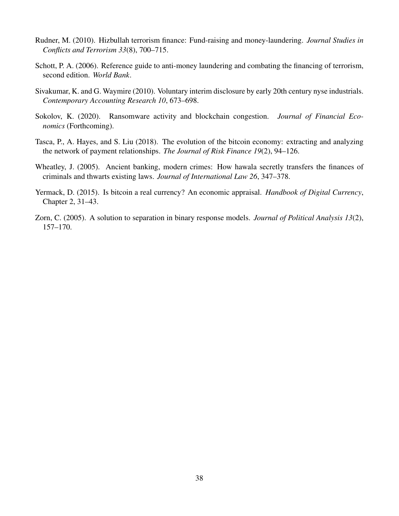- <span id="page-38-2"></span>Rudner, M. (2010). Hizbullah terrorism finance: Fund-raising and money-laundering. *Journal Studies in Conflicts and Terrorism 33*(8), 700–715.
- <span id="page-38-3"></span>Schott, P. A. (2006). Reference guide to anti-money laundering and combating the financing of terrorism, second edition. *World Bank*.
- <span id="page-38-0"></span>Sivakumar, K. and G. Waymire (2010). Voluntary interim disclosure by early 20th century nyse industrials. *Contemporary Accounting Research 10*, 673–698.
- <span id="page-38-1"></span>Sokolov, K. (2020). Ransomware activity and blockchain congestion. *Journal of Financial Economics* (Forthcoming).
- <span id="page-38-4"></span>Tasca, P., A. Hayes, and S. Liu (2018). The evolution of the bitcoin economy: extracting and analyzing the network of payment relationships. *The Journal of Risk Finance 19*(2), 94–126.
- <span id="page-38-5"></span>Wheatley, J. (2005). Ancient banking, modern crimes: How hawala secretly transfers the finances of criminals and thwarts existing laws. *Journal of International Law 26*, 347–378.
- <span id="page-38-6"></span>Yermack, D. (2015). Is bitcoin a real currency? An economic appraisal. *Handbook of Digital Currency*, Chapter 2, 31–43.
- <span id="page-38-7"></span>Zorn, C. (2005). A solution to separation in binary response models. *Journal of Political Analysis 13*(2), 157–170.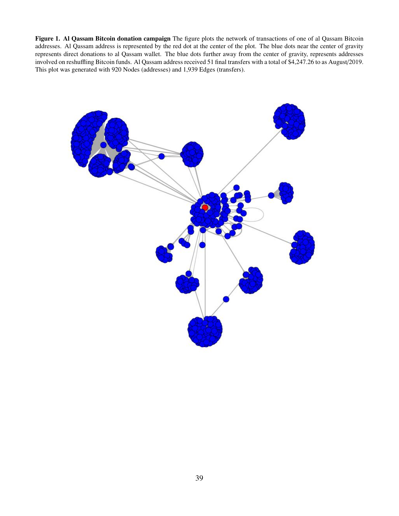<span id="page-39-0"></span>Figure 1. Al Qassam Bitcoin donation campaign The figure plots the network of transactions of one of al Qassam Bitcoin addresses. Al Qassam address is represented by the red dot at the center of the plot. The blue dots near the center of gravity represents direct donations to al Qassam wallet. The blue dots further away from the center of gravity, represents addresses involved on reshuffling Bitcoin funds. Al Qassam address received 51 final transfers with a total of \$4,247.26 to as August/2019. This plot was generated with 920 Nodes (addresses) and 1,939 Edges (transfers).

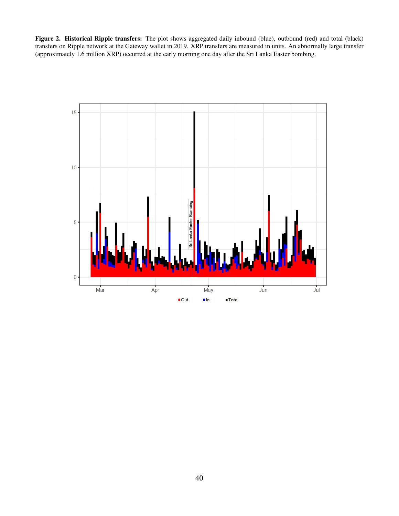<span id="page-40-0"></span>Figure 2. Historical Ripple transfers: The plot shows aggregated daily inbound (blue), outbound (red) and total (black) transfers on Ripple network at the Gateway wallet in 2019. XRP transfers are measured in units. An abnormally large transfer (approximately 1.6 million XRP) occurred at the early morning one day after the Sri Lanka Easter bombing.

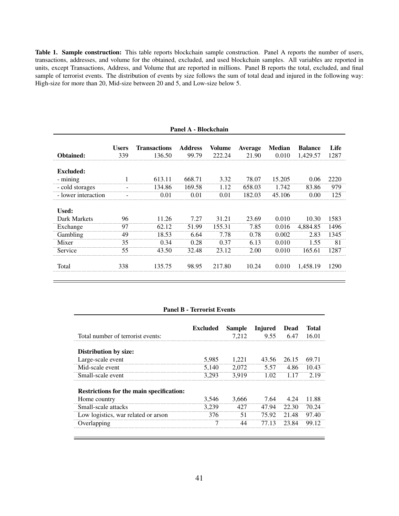<span id="page-41-0"></span>Table 1. Sample construction: This table reports blockchain sample construction. Panel A reports the number of users, transactions, addresses, and volume for the obtained, excluded, and used blockchain samples. All variables are reported in units, except Transactions, Address, and Volume that are reported in millions. Panel B reports the total, excluded, and final sample of terrorist events. The distribution of events by size follows the sum of total dead and injured in the following way: High-size for more than 20, Mid-size between 20 and 5, and Low-size below 5.

|                     | Panel A - Blockchain |                               |                         |                  |                         |                        |                            |              |
|---------------------|----------------------|-------------------------------|-------------------------|------------------|-------------------------|------------------------|----------------------------|--------------|
| Obtained:           | <b>Users</b><br>339  | <b>Transactions</b><br>136.50 | <b>Address</b><br>99.79 | Volume<br>222.24 | <b>Average</b><br>21.90 | <b>Median</b><br>0.010 | <b>Balance</b><br>1,429.57 | Life<br>1287 |
|                     |                      |                               |                         |                  |                         |                        |                            |              |
| <b>Excluded:</b>    |                      |                               |                         |                  |                         |                        |                            |              |
| - mining            |                      | 613.11                        | 668.71                  | 3.32             | 78.07                   | 15.205                 | 0.06                       | 2220         |
| - cold storages     |                      | 134.86                        | 169.58                  | 1.12             | 658.03                  | 1.742                  | 83.86                      | 979          |
| - lower interaction |                      | 0.01                          | 0.01                    | 0.01             | 182.03                  | 45.106                 | 0.00                       | 125          |
| Used:               |                      |                               |                         |                  |                         |                        |                            |              |
| Dark Markets        | 96                   | 11.26                         | 7.27                    | 31.21            | 23.69                   | 0.010                  | 10.30                      | 1583         |
| Exchange            | 97                   | 62.12                         | 51.99                   | 155.31           | 7.85                    | 0.016                  | 4,884.85                   | 1496         |
| Gambling            | 49                   | 18.53                         | 6.64                    | 7.78             | 0.78                    | 0.002                  | 2.83                       | 1345         |
| Mixer               | 35                   | 0.34                          | 0.28                    | 0.37             | 6.13                    | 0.010                  | 1.55                       | 81           |
| Service             | 55                   | 43.50                         | 32.48                   | 23.12            | 2.00                    | 0.010                  | 165.61                     | 1287         |
| Total               | 338                  | 135.75                        | 98.95                   | 217.80           | 10.24                   | 0.010                  | 1,458.19                   | 1290         |
|                     |                      |                               |                         |                  |                         |                        |                            |              |

#### Panel B - Terrorist Events

| Total number of terrorist events:        | <b>Excluded</b> | <b>Sample</b><br>7.212 | Injured<br>9.55 | Dead<br>6.47 | Total<br>16.01 |
|------------------------------------------|-----------------|------------------------|-----------------|--------------|----------------|
| Distribution by size:                    |                 |                        |                 |              |                |
| Large-scale event                        | 5,985           | 1.221                  | 43.56           | 26.15        | 69.71          |
| Mid-scale event                          | 5.140           | 2.072                  | 5.57            | 4.86         | 10.43          |
| Small-scale event                        | 3.293           | 3.919                  | 1.02            | 1.17         | 2.19           |
| Restrictions for the main specification: |                 |                        |                 |              |                |
| Home country                             | 3.546           | 3.666                  | 7.64            | 4.24         | 11.88          |
| Small-scale attacks                      | 3.239           | 427                    | 47.94           | 22.30        | 70.24          |
| Low logistics, war related or arson      | 376             | 51                     | 75.92           | 21.48        | 97.40          |
| Overlapping                              | 7               | 44                     | 77 13           | 23.84        | 99.12          |
|                                          |                 |                        |                 |              |                |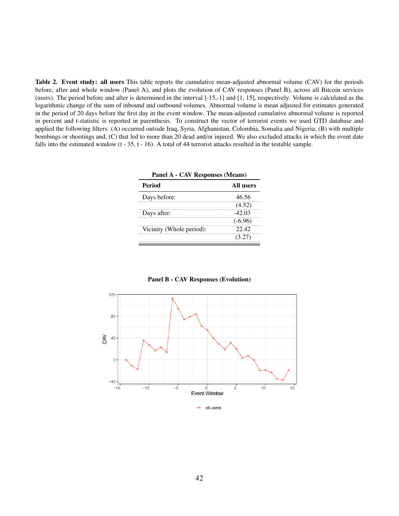<span id="page-42-0"></span>Table 2. Event study: all users This table reports the cumulative mean-adjusted abnormal volume (CAV) for the periods before, after and whole window (Panel A), and plots the evolution of CAV responses (Panel B), across all Bitcoin services (users). The period before and after is determined in the interval [-15,-1] and [1, 15], respectively. Volume is calculated as the logarithmic change of the sum of inbound and outbound volumes. Abnormal volume is mean adjusted for estimates generated in the period of 20 days before the first day in the event window. The mean-adjusted cumulative abnormal volume is reported in percent and t-statistic is reported in parenthesis. To construct the vector of terrorist events we used GTD database and applied the following filters: (A) occurred outside Iraq, Syria, Afghanistan, Colombia, Somalia and Nigeria; (B) with multiple bombings or shootings and, (C) that led to more than 20 dead and/or injured. We also excluded attacks in which the event date falls into the estimated window  $(t - 35, t - 16)$ . A total of 44 terrorist attacks resulted in the testable sample.

| <b>Panel A - CAV Responses (Means)</b> |           |  |  |
|----------------------------------------|-----------|--|--|
| Period                                 | All users |  |  |
| Days before:                           | 46.56     |  |  |
|                                        | (4.52)    |  |  |
| Days after:                            | $-42.03$  |  |  |
|                                        | $(-6.96)$ |  |  |
| Vicinity (Whole period):               | 22.42     |  |  |
|                                        | (3.27)    |  |  |



Panel B - CAV Responses (Evolution)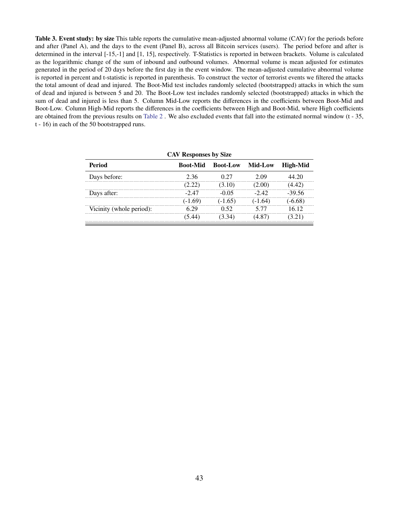<span id="page-43-0"></span>Table 3. Event study: by size This table reports the cumulative mean-adjusted abnormal volume (CAV) for the periods before and after (Panel A), and the days to the event (Panel B), across all Bitcoin services (users). The period before and after is determined in the interval [-15,-1] and [1, 15], respectively. T-Statistics is reported in between brackets. Volume is calculated as the logarithmic change of the sum of inbound and outbound volumes. Abnormal volume is mean adjusted for estimates generated in the period of 20 days before the first day in the event window. The mean-adjusted cumulative abnormal volume is reported in percent and t-statistic is reported in parenthesis. To construct the vector of terrorist events we filtered the attacks the total amount of dead and injured. The Boot-Mid test includes randomly selected (bootstrapped) attacks in which the sum of dead and injured is between 5 and 20. The Boot-Low test includes randomly selected (bootstrapped) attacks in which the sum of dead and injured is less than 5. Column Mid-Low reports the differences in the coefficients between Boot-Mid and Boot-Low. Column High-Mid reports the differences in the coefficients between High and Boot-Mid, where High coefficients are obtained from the previous results on [Table 2](#page-42-0) . We also excluded events that fall into the estimated normal window (t - 35, t - 16) in each of the 50 bootstrapped runs.

| <b>CAV Responses by Size</b>                                               |         |           |           |           |  |  |  |
|----------------------------------------------------------------------------|---------|-----------|-----------|-----------|--|--|--|
| <b>Period</b><br>Mid-Low<br><b>Boot-Mid</b><br>High-Mid<br><b>Boot-Low</b> |         |           |           |           |  |  |  |
| Days before:                                                               | 2.36    | 0.27      | 2.09      | 44 20     |  |  |  |
|                                                                            | (2.22)  | (3.10)    | (2.00)    | (4.42)    |  |  |  |
| Days after:                                                                | $-2.47$ | -0.05     | $-2.42$   | $-39.56$  |  |  |  |
|                                                                            | $-1.69$ | $(-1.65)$ | $(-1.64)$ | $(-6.68)$ |  |  |  |
| Vicinity (whole period):                                                   | 6 29    | 0.52      | 5 77      | 16.12     |  |  |  |
|                                                                            | (5.44)  | 3.34)     | (4.87)    | (3.21)    |  |  |  |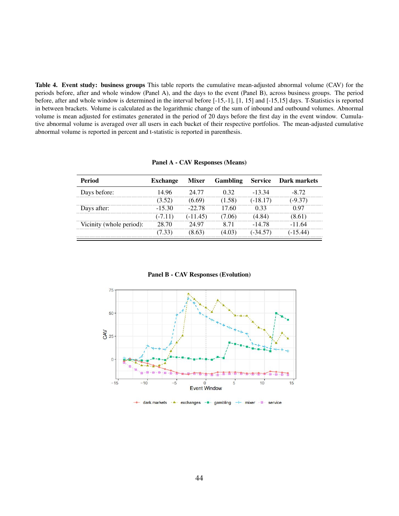<span id="page-44-0"></span>Table 4. Event study: business groups This table reports the cumulative mean-adjusted abnormal volume (CAV) for the periods before, after and whole window (Panel A), and the days to the event (Panel B), across business groups. The period before, after and whole window is determined in the interval before [-15,-1], [1, 15] and [-15,15] days. T-Statistics is reported in between brackets. Volume is calculated as the logarithmic change of the sum of inbound and outbound volumes. Abnormal volume is mean adjusted for estimates generated in the period of 20 days before the first day in the event window. Cumulative abnormal volume is averaged over all users in each bucket of their respective portfolios. The mean-adjusted cumulative abnormal volume is reported in percent and t-statistic is reported in parenthesis.

Panel A - CAV Responses (Means)

| <b>Period</b>            | <b>Exchange</b> | <b>Mixer</b> | <b>Gambling</b> | <b>Service</b> | <b>Dark markets</b> |
|--------------------------|-----------------|--------------|-----------------|----------------|---------------------|
| Days before:             | 14.96           | 24 77        | 0.32            | $-13.34$       | -8.72               |
|                          | (3.52)          | 6.69)        | (1.58)          | $(-18.17)$     | $(-9.37)$           |
| Days after:              | $-1530$         | $-22.78$     | 17 60           | 0.33           | () 97               |
|                          | $(-7.11)$       | $(-11.45)$   | 7.06)           | (4.84)         | (8.61)              |
| Vicinity (whole period): | 28.70           | 24.97        | 8.71            | -14 78         | -11.64              |
|                          |                 |              |                 | $-34.57$       |                     |

Panel B - CAV Responses (Evolution)



dark.markets - \*- exchanges - \*- gambling  $\cdot$   $\boxtimes$ service  $+$  mixer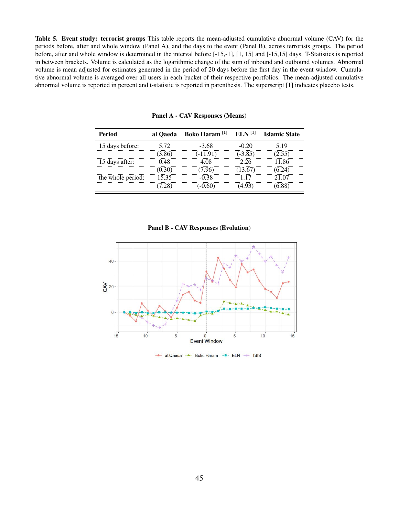<span id="page-45-0"></span>Table 5. Event study: terrorist groups This table reports the mean-adjusted cumulative abnormal volume (CAV) for the periods before, after and whole window (Panel A), and the days to the event (Panel B), across terrorists groups. The period before, after and whole window is determined in the interval before [-15,-1], [1, 15] and [-15,15] days. T-Statistics is reported in between brackets. Volume is calculated as the logarithmic change of the sum of inbound and outbound volumes. Abnormal volume is mean adjusted for estimates generated in the period of 20 days before the first day in the event window. Cumulative abnormal volume is averaged over all users in each bucket of their respective portfolios. The mean-adjusted cumulative abnormal volume is reported in percent and t-statistic is reported in parenthesis. The superscript [1] indicates placebo tests.

| Period            | al Oaeda | Boko Haram <sup>[1]</sup> | $ELN$ <sup>[1]</sup> | <b>Islamic State</b> |
|-------------------|----------|---------------------------|----------------------|----------------------|
| 15 days before:   | 5.72     | $-3.68$                   | $-0.20$              | 5.19                 |
|                   | (3.86)   | (-11.91)                  | $(-3.85)$            | (2.55)               |
| 15 days after:    | 0.48     | 4 OS                      | 226                  | 11.86                |
|                   | (0.30)   | 7.96)                     | 13.67)               | (6.24)               |
| the whole period: | 15.35    | -0.38                     | 117                  | 21.07                |
|                   | .28)     | $-0.60$                   |                      | (6.88)               |

Panel A - CAV Responses (Means)

Panel B - CAV Responses (Evolution)

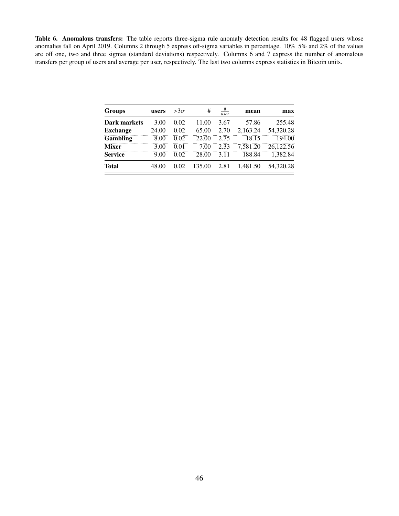<span id="page-46-0"></span>Table 6. Anomalous transfers: The table reports three-sigma rule anomaly detection results for 48 flagged users whose anomalies fall on April 2019. Columns 2 through 5 express off-sigma variables in percentage. 10% 5% and 2% of the values are off one, two and three sigmas (standard deviations) respectively. Columns 6 and 7 express the number of anomalous transfers per group of users and average per user, respectively. The last two columns express statistics in Bitcoin units.

| <b>Groups</b>       | users | $>3\sigma$ | #      | #<br>user | mean     | max       |
|---------------------|-------|------------|--------|-----------|----------|-----------|
| <b>Dark markets</b> | 3.00  | 0.02       | 11.00  | 3.67      | 57.86    | 255.48    |
| <b>Exchange</b>     | 24.00 | 0.02       | 65.00  | 2.70      | 2.163.24 | 54.320.28 |
| <b>Gambling</b>     | 8.00  | 0.02       | 22.00  | 2.75      | 18.15    | 194.00    |
| <b>Mixer</b>        | 3.00  | 0.01       | 7.00   | 2.33      | 7.581.20 | 26.122.56 |
| <b>Service</b>      | 9.00  | 0.02       | 28.00  | 3.11      | 188.84   | 1.382.84  |
| <b>Total</b>        | 48.00 | 0.02       | 135.00 | 2.81      | 1.481.50 | 54.320.28 |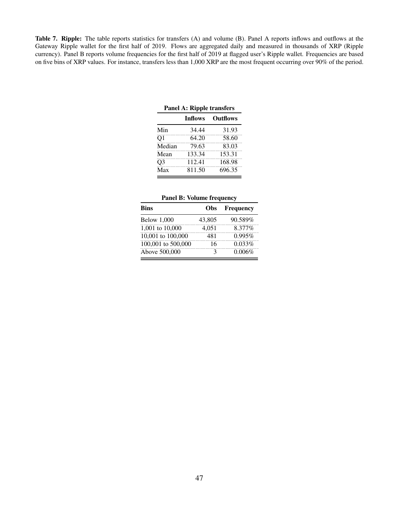<span id="page-47-0"></span>Table 7. Ripple: The table reports statistics for transfers (A) and volume (B). Panel A reports inflows and outflows at the Gateway Ripple wallet for the first half of 2019. Flows are aggregated daily and measured in thousands of XRP (Ripple currency). Panel B reports volume frequencies for the first half of 2019 at flagged user's Ripple wallet. Frequencies are based on five bins of XRP values. For instance, transfers less than 1,000 XRP are the most frequent occurring over 90% of the period.

| Panel A: Ripple transfers |                |                 |  |  |
|---------------------------|----------------|-----------------|--|--|
|                           | <b>Inflows</b> | <b>Outflows</b> |  |  |
| Min                       | 34.44          | 31.93           |  |  |
| Q <sub>1</sub>            | 64.20          | 58.60           |  |  |
| Median                    | 79.63          | 83.03           |  |  |
| Mean                      | 133.34         | 153.31          |  |  |
| Q <sub>3</sub>            | 112.41         | 168.98          |  |  |
| Max                       | 811.50         | 696.35          |  |  |

|  |  | <b>Panel B: Volume frequency</b> |
|--|--|----------------------------------|
|--|--|----------------------------------|

| <b>Bins</b>        | Obs    | Frequency |
|--------------------|--------|-----------|
| <b>Below 1,000</b> | 43,805 | 90.589%   |
| 1,001 to 10,000    | 4,051  | 8.377%    |
| 10,001 to 100,000  | 481    | 0.995%    |
| 100,001 to 500,000 | 16     | 0.033%    |
| Above 500,000      | з      | 0.006%    |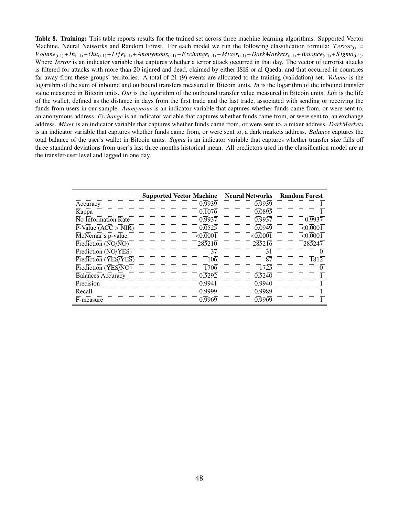<span id="page-48-0"></span>Table 8. Training: This table reports results for the trained set across three machine learning algorithms: Supported Vector Machine, Neural Networks and Random Forest. For each model we run the following classification formula: *Terror*<sub>(t)</sub> =  $Volume_{(t-1)} + In_{(t-1)} + Out_{(t-1)} + Life_{(t-1)} + Anonymous_{(t-1)} + Exchange_{(t-1)} + Mixer_{(t-1)} + DarkMarkets_{(t-1)} + Balance_{(t-1)} + Signa_{(t-1)}$ . Where *Terror* is an indicator variable that captures whether a terror attack occurred in that day. The vector of terrorist attacks is filtered for attacks with more than 20 injured and dead, claimed by either ISIS or al Qaeda, and that occurred in countries far away from these groups' territories. A total of 21 (9) events are allocated to the training (validation) set. *Volume* is the logarithm of the sum of inbound and outbound transfers measured in Bitcoin units. *In* is the logarithm of the inbound transfer value measured in Bitcoin units. *Out* is the logarithm of the outbound transfer value measured in Bitcoin units. *Life* is the life of the wallet, defined as the distance in days from the first trade and the last trade, associated with sending or receiving the funds from users in our sample. *Anonymous* is an indicator variable that captures whether funds came from, or were sent to, an anonymous address. *Exchange* is an indicator variable that captures whether funds came from, or were sent to, an exchange address. *Mixer* is an indicator variable that captures whether funds came from, or were sent to, a mixer address. *DarkMarkets* is an indicator variable that captures whether funds came from, or were sent to, a dark markets address. *Balance* captures the total balance of the user's wallet in Bitcoin units. *Sigma* is an indicator variable that captures whether transfer size falls off three standard deviations from user's last three months historical mean. All predictors used in the classification model are at the transfer-user level and lagged in one day.

|                          | <b>Supported Vector Machine Neural Networks Random Forest</b> |         |         |
|--------------------------|---------------------------------------------------------------|---------|---------|
| Accuracy                 | 0.9939                                                        | 0.9939  |         |
| Kappa                    | 0.1076                                                        | 0.0895  |         |
| No Information Rate      | 0.9937                                                        | 0.9937  | 0.9937  |
| $P-Value (ACC > NIR)$    | 0.0525                                                        | 0.0949  | <0.0001 |
| McNemar's p-value        | <0.0001                                                       | <0.0001 | <0.0001 |
| Prediction (NO/NO)       | 285210                                                        | 285216  | 285247  |
| Prediction (NO/YES)      | 37                                                            | 31      |         |
| Prediction (YES/YES)     | 106                                                           | 87      | 1812    |
| Prediction (YES/NO)      | 1706                                                          | 1725    |         |
| <b>Balances Accuracy</b> | 0.5292                                                        | 0.5240  |         |
| Precision                | 0.9941                                                        | 0.9940  |         |
| Recall                   | 0.9999                                                        | 0.9989  |         |
| F-measure                | 0.9969                                                        | 0.9969  |         |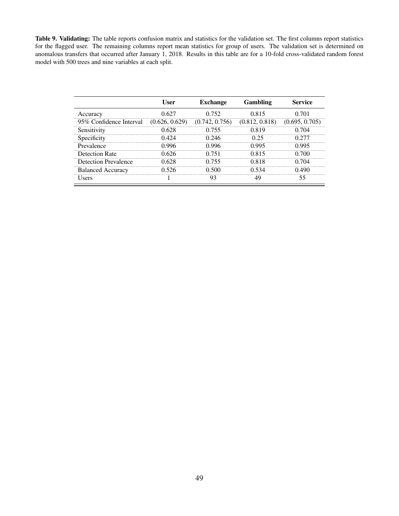<span id="page-49-0"></span>Table 9. Validating: The table reports confusion matrix and statistics for the validation set. The first columns report statistics for the flagged user. The remaining columns report mean statistics for group of users. The validation set is determined on anomalous transfers that occurred after January 1, 2018. Results in this table are for a 10-fold cross-validated random forest model with 500 trees and nine variables at each split.

|                             | User           | <b>Exchange</b> | Gambling       | <b>Service</b> |
|-----------------------------|----------------|-----------------|----------------|----------------|
| Accuracy                    | 0.627          | 0.752           | 0.815          | 0.701          |
| 95% Confidence Interval     | (0.626, 0.629) | (0.742, 0.756)  | (0.812, 0.818) | (0.695, 0.705) |
| Sensitivity                 | 0.628          | 0.755           | 0.819          | 0.704          |
| Specificity                 | 0.424          | 0.246           | 0.25           | 0.277          |
| Prevalence                  | 0.996          | 0.996           | 0.995          | 0.995          |
| Detection Rate              | 0.626          | 0.751           | 0.815          | 0.700          |
| <b>Detection Prevalence</b> | 0.628          | 0.755           | 0.818          | 0.704          |
| <b>Balanced Accuracy</b>    | 0.526          | 0.500           | 0.534          | 0.490          |
| Users                       |                | 93              |                | 55             |